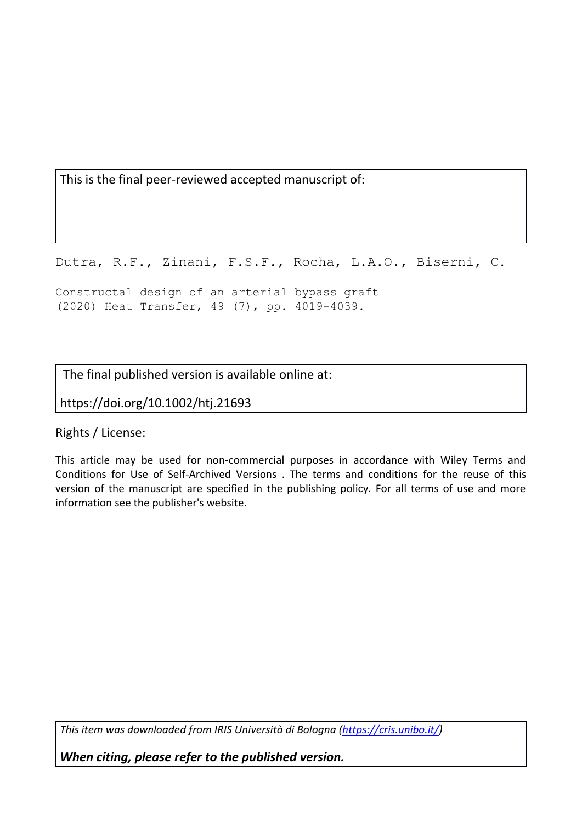This is the final peer-reviewed accepted manuscript of:

Dutra, R.F., Zinani, F.S.F., Rocha, L.A.O., Biserni, C.

Constructal design of an arterial bypass graft (2020) Heat Transfer, 49 (7), pp. 4019-4039.

The final published version is available online at:

https://doi.org/10.1002/htj.21693

Rights / License:

This article may be used for non-commercial purposes in accordance with Wiley Terms and Conditions for Use of Self-Archived Versions . The terms and conditions for the reuse of this version of the manuscript are specified in the publishing policy. For all terms of use and more information see the publisher's website.

*This item was downloaded from IRIS Università di Bologna (https://cris.unibo.it/)*

*When citing, please refer to the published version.*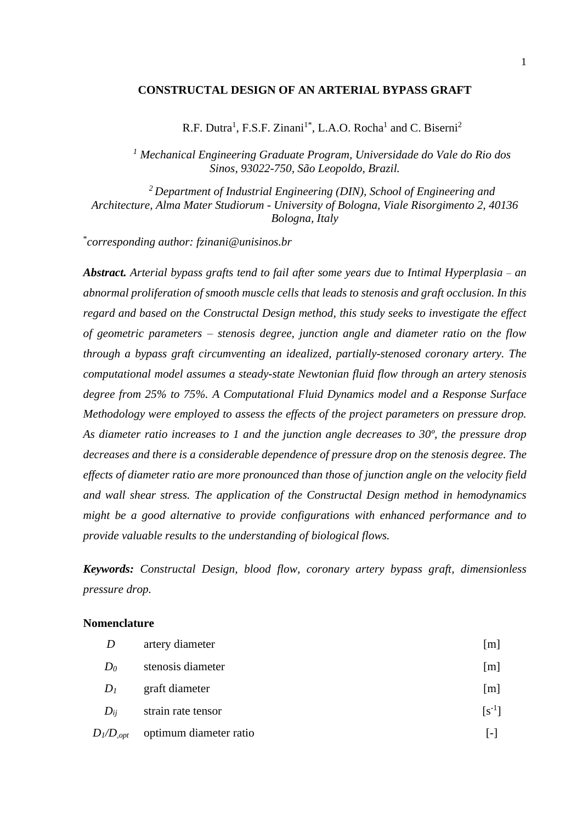## **CONSTRUCTAL DESIGN OF AN ARTERIAL BYPASS GRAFT**

R.F. Dutra<sup>1</sup>, F.S.F. Zinani<sup>1\*</sup>, L.A.O. Rocha<sup>1</sup> and C. Biserni<sup>2</sup>

*<sup>1</sup> Mechanical Engineering Graduate Program, Universidade do Vale do Rio dos Sinos, 93022-750, São Leopoldo, Brazil.*

*<sup>2</sup>Department of Industrial Engineering (DIN), School of Engineering and Architecture, Alma Mater Studiorum - University of Bologna, Viale Risorgimento 2, 40136 Bologna, Italy*

\* *corresponding author: fzinani@unisinos.br*

*Abstract. Arterial bypass grafts tend to fail after some years due to Intimal Hyperplasia* – *an abnormal proliferation of smooth muscle cells that leads to stenosis and graft occlusion. In this regard and based on the Constructal Design method, this study seeks to investigate the effect of geometric parameters – stenosis degree, junction angle and diameter ratio on the flow through a bypass graft circumventing an idealized, partially-stenosed coronary artery. The computational model assumes a steady-state Newtonian fluid flow through an artery stenosis degree from 25% to 75%. A Computational Fluid Dynamics model and a Response Surface Methodology were employed to assess the effects of the project parameters on pressure drop. As diameter ratio increases to 1 and the junction angle decreases to 30º, the pressure drop decreases and there is a considerable dependence of pressure drop on the stenosis degree. The effects of diameter ratio are more pronounced than those of junction angle on the velocity field and wall shear stress. The application of the Constructal Design method in hemodynamics might be a good alternative to provide configurations with enhanced performance and to provide valuable results to the understanding of biological flows.*

*Keywords: Constructal Design, blood flow, coronary artery bypass graft, dimensionless pressure drop.*

#### **Nomenclature**

| D              | artery diameter        | [m]          |
|----------------|------------------------|--------------|
| $D_0$          | stenosis diameter      | [m]          |
| $D_I$          | graft diameter         | [m]          |
| $D_{ii}$       | strain rate tensor     | $[s^{-1}]$   |
| $D_l/D_{,opt}$ | optimum diameter ratio | $\mathbf{L}$ |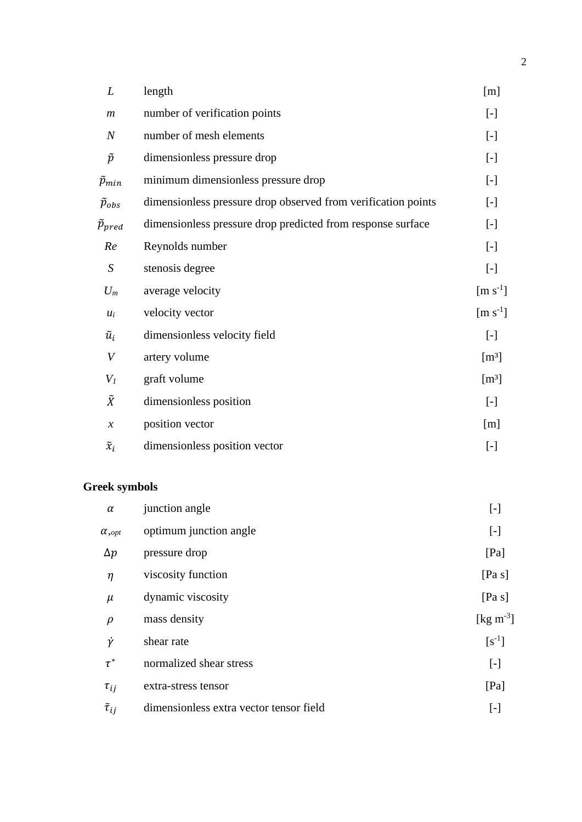| L                          | length                                                        | [m]                                                                                                                                                                                                                                                                                                                                                                                                                                                                                                                                                                                                                                                                                                                                                                                                                                                                                                                        |
|----------------------------|---------------------------------------------------------------|----------------------------------------------------------------------------------------------------------------------------------------------------------------------------------------------------------------------------------------------------------------------------------------------------------------------------------------------------------------------------------------------------------------------------------------------------------------------------------------------------------------------------------------------------------------------------------------------------------------------------------------------------------------------------------------------------------------------------------------------------------------------------------------------------------------------------------------------------------------------------------------------------------------------------|
| $\boldsymbol{m}$           | number of verification points                                 | $\left[ -\right] % \begin{minipage}[b]{.45\linewidth} \centering \includegraphics[width=\linewidth]{images/Example_14]{Example_144m100.pdf} \caption{The image shows the number of times of the number of times.} \label{fig:Example_144m10_144} \end{minipage} \ \vspace{-.5cm} \begin{minipage}[b]{.45\linewidth} \centering \includegraphics[width=\linewidth]{images/Example_144m10_14} \caption{The 3D (blue) model is used for the number of times.} \label{fig:Example_144m10_144} \end{minipage} \vspace{-.5cm} \begin{minipage}[b]{.45\linewidth} \centering \includegraphics[width=\$                                                                                                                                                                                                                                                                                                                            |
| $\overline{N}$             | number of mesh elements                                       | $\left[ -\right] % \begin{minipage}[b]{.45\linewidth} \centering \includegraphics[width=\linewidth]{images/Example_14]{Example_144m100.pdf} \caption{The image shows the number of times of the number of times.} \label{fig:Example_144m10_144} \end{minipage} \ \vspace{-.5cm} \begin{minipage}[b]{.45\linewidth} \centering \includegraphics[width=\linewidth]{images/Example_144m10_14} \caption{The 3D (blue) model is used for the number of times.} \label{fig:Example_144m10_144} \end{minipage} \vspace{-.5cm} \begin{minipage}[b]{.45\linewidth} \centering \includegraphics[width=\$                                                                                                                                                                                                                                                                                                                            |
| $\widetilde{p}$            | dimensionless pressure drop                                   | $\left[ -\right] % \begin{minipage}[b]{.45\linewidth} \centering \includegraphics[width=\linewidth]{images/Example_14]{Example_144m100.pdf} \caption{The image shows the number of times of the number of times.} \label{fig:Example_144m10_144} \end{minipage} \ \vspace{-.5cm} \begin{minipage}[b]{.45\linewidth} \centering \includegraphics[width=\linewidth]{images/Example_144m10_14} \caption{The 3D (blue) model is used for the number of times.} \label{fig:Example_144m10_144} \end{minipage} \vspace{-.5cm} \begin{minipage}[b]{.45\linewidth} \centering \includegraphics[width=\$                                                                                                                                                                                                                                                                                                                            |
| $\widetilde{p}_{min}$      | minimum dimensionless pressure drop                           | $\left[ -\right] % \begin{minipage}[b]{.45\linewidth} \centering \includegraphics[width=\linewidth]{images/Example_14]{Example_144m100.pdf} \caption{The image shows the number of times of the number of times.} \label{fig:Example_144m10_144} \end{minipage} \ \vspace{-.5cm} \begin{minipage}[b]{.45\linewidth} \centering \includegraphics[width=\linewidth]{images/Example_144m10_14} \caption{The 3D (blue) model is used for the number of times.} \label{fig:Example_144m10_144} \end{minipage} \vspace{-.5cm} \begin{minipage}[b]{.45\linewidth} \centering \includegraphics[width=\$                                                                                                                                                                                                                                                                                                                            |
| $\widetilde{p}_{obs}$      | dimensionless pressure drop observed from verification points | $\left[ -\right] % \begin{minipage}[b]{.45\linewidth} \centering \includegraphics[width=\linewidth]{images/Example_14]{Example_144m100.pdf} \caption{The image shows the number of times of the number of times.} \label{fig:Example_144m10_144} \end{minipage} \ \vspace{-.5cm} \begin{minipage}[b]{.45\linewidth} \centering \includegraphics[width=\linewidth]{images/Example_144m10_14} \caption{The 3D (blue) model is used for the number of times.} \label{fig:Example_144m10_144} \end{minipage} \vspace{-.5cm} \begin{minipage}[b]{.45\linewidth} \centering \includegraphics[width=\$                                                                                                                                                                                                                                                                                                                            |
| $\widetilde{p}_{pred}$     | dimensionless pressure drop predicted from response surface   | $\left[ -\right] % \begin{minipage}[b]{.45\linewidth} \centering \includegraphics[width=\linewidth]{images/Example_14]{Example_144m100.pdf} \caption{The image shows the number of times of the number of times.} \label{fig:Example_144m10_144} \end{minipage} \ \vspace{-.5cm} \begin{minipage}[b]{.45\linewidth} \centering \includegraphics[width=\linewidth]{images/Example_144m10_14} \caption{The 3D (blue) model is used for the number of times.} \label{fig:Example_144m10_144} \end{minipage} \vspace{-.5cm} \begin{minipage}[b]{.45\linewidth} \centering \includegraphics[width=\$                                                                                                                                                                                                                                                                                                                            |
| Re                         | Reynolds number                                               | $\left[ -\right] % \begin{minipage}[b]{.45\linewidth} \centering \includegraphics[width=\linewidth]{images/Example_14]{Example_144m100.pdf} \caption{The image shows the number of times of the number of times.} \label{fig:Example_144m10_144} \end{minipage} \ \vspace{-.5cm} \begin{minipage}[b]{.45\linewidth} \centering \includegraphics[width=\linewidth]{images/Example_144m10_14} \caption{The 3D (blue) model is used for the number of times.} \label{fig:Example_144m10_144} \end{minipage} \vspace{-.5cm} \begin{minipage}[b]{.45\linewidth} \centering \includegraphics[width=\$                                                                                                                                                                                                                                                                                                                            |
| $\boldsymbol{S}$           | stenosis degree                                               | $\left[ -\right] % \begin{minipage}[b]{.45\linewidth} \centering \includegraphics[width=\linewidth]{images/Example_14]{Example_144m100.pdf} \caption{The image shows the number of times of the number of times.} \label{fig:Example_144m10_144} \end{minipage} \ \vspace{-.5cm} \begin{minipage}[b]{.45\linewidth} \centering \includegraphics[width=\linewidth]{images/Example_144m10_14} \caption{The 3D (blue) model is used for the number of times.} \label{fig:Example_144m10_144} \end{minipage} \vspace{-.5cm} \begin{minipage}[b]{.45\linewidth} \centering \includegraphics[width=\$                                                                                                                                                                                                                                                                                                                            |
| $U_m$                      | average velocity                                              | $[m s-1]$                                                                                                                                                                                                                                                                                                                                                                                                                                                                                                                                                                                                                                                                                                                                                                                                                                                                                                                  |
| $u_i$                      | velocity vector                                               | $\left[\text{m s}^{-1}\right]$                                                                                                                                                                                                                                                                                                                                                                                                                                                                                                                                                                                                                                                                                                                                                                                                                                                                                             |
| $\tilde{u}_i$              | dimensionless velocity field                                  | $[\cdot]$                                                                                                                                                                                                                                                                                                                                                                                                                                                                                                                                                                                                                                                                                                                                                                                                                                                                                                                  |
| V                          | artery volume                                                 | [m <sup>3</sup> ]                                                                                                                                                                                                                                                                                                                                                                                                                                                                                                                                                                                                                                                                                                                                                                                                                                                                                                          |
| $V_I$                      | graft volume                                                  | $[m^3]$                                                                                                                                                                                                                                                                                                                                                                                                                                                                                                                                                                                                                                                                                                                                                                                                                                                                                                                    |
| $\tilde{X}$                | dimensionless position                                        | $\left[ -\right]$                                                                                                                                                                                                                                                                                                                                                                                                                                                                                                                                                                                                                                                                                                                                                                                                                                                                                                          |
| $\boldsymbol{\mathcal{X}}$ | position vector                                               | [m]                                                                                                                                                                                                                                                                                                                                                                                                                                                                                                                                                                                                                                                                                                                                                                                                                                                                                                                        |
| $\tilde{x}_i$              | dimensionless position vector                                 | $\left[ -\right] % \begin{minipage}[b]{.45\linewidth} \centering \includegraphics[width=\textwidth]{figs/fig_4-1.png} \caption{The number of times in the left end of the number of times in the right end of the number of times in the right end of the number of times in the right end of the number of times in the right end of the number of times in the right end of the number of times in the right end of the number of times in the right end of the number of times in the right end of the number of times in the right end of the number of times in the right end of the number of times in the right end of the number of times in the right end of the number of times in the right end of the number of times in the right end of the number of times in the right end of the number of times in the right end of the number of times in the right end of the number of times in the right end of the$ |

# **Greek symbols**

| $\alpha$            | junction angle                          | $\left[ -\right] % \begin{minipage}[b]{.45\linewidth} \centering \includegraphics[width=\linewidth]{images/Example_14]{Example_144m100.pdf} \caption{The image shows the number of times of the number of times.} \label{fig:Example_144m10_144} \end{minipage} \ \vspace{-.5cm} \begin{minipage}[b]{.45\linewidth} \centering \includegraphics[width=\linewidth]{images/Example_144m10_14} \caption{The 3D (blue) model is used for the number of times.} \label{fig:Example_144m10_144} \end{minipage} \vspace{-.5cm} \begin{minipage}[b]{.45\linewidth} \centering \includegraphics[width=\$ |
|---------------------|-----------------------------------------|-------------------------------------------------------------------------------------------------------------------------------------------------------------------------------------------------------------------------------------------------------------------------------------------------------------------------------------------------------------------------------------------------------------------------------------------------------------------------------------------------------------------------------------------------------------------------------------------------|
| $\alpha$ , opt      | optimum junction angle                  | $[\cdot]$                                                                                                                                                                                                                                                                                                                                                                                                                                                                                                                                                                                       |
| $\Delta p$          | pressure drop                           | [Pa]                                                                                                                                                                                                                                                                                                                                                                                                                                                                                                                                                                                            |
| $\eta$              | viscosity function                      | [Pa s]                                                                                                                                                                                                                                                                                                                                                                                                                                                                                                                                                                                          |
| $\mu$               | dynamic viscosity                       | [Pa s]                                                                                                                                                                                                                                                                                                                                                                                                                                                                                                                                                                                          |
| $\rho$              | mass density                            | [ $\text{kg m}^{-3}$ ]                                                                                                                                                                                                                                                                                                                                                                                                                                                                                                                                                                          |
| Ÿ                   | shear rate                              | $[s^{-1}]$                                                                                                                                                                                                                                                                                                                                                                                                                                                                                                                                                                                      |
| $\tau^*$            | normalized shear stress                 | $[\cdot]$                                                                                                                                                                                                                                                                                                                                                                                                                                                                                                                                                                                       |
| $\tau_{ij}$         | extra-stress tensor                     | [Pa]                                                                                                                                                                                                                                                                                                                                                                                                                                                                                                                                                                                            |
| $\tilde{\tau}_{ij}$ | dimensionless extra vector tensor field | $[\cdot]$                                                                                                                                                                                                                                                                                                                                                                                                                                                                                                                                                                                       |
|                     |                                         |                                                                                                                                                                                                                                                                                                                                                                                                                                                                                                                                                                                                 |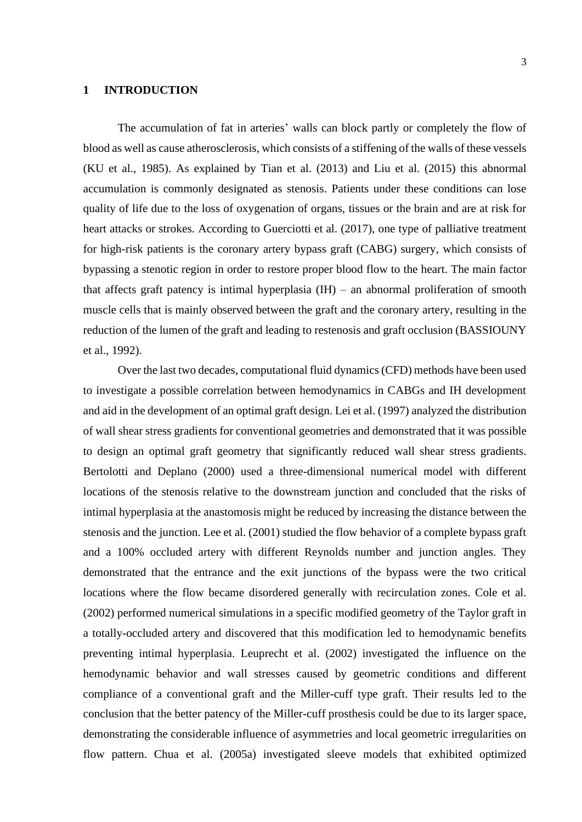## **1 INTRODUCTION**

The accumulation of fat in arteries' walls can block partly or completely the flow of blood as well as cause atherosclerosis, which consists of a stiffening of the walls of these vessels (KU et al., 1985). As explained by Tian et al. (2013) and Liu et al. (2015) this abnormal accumulation is commonly designated as stenosis. Patients under these conditions can lose quality of life due to the loss of oxygenation of organs, tissues or the brain and are at risk for heart attacks or strokes. According to Guerciotti et al. (2017), one type of palliative treatment for high-risk patients is the coronary artery bypass graft (CABG) surgery, which consists of bypassing a stenotic region in order to restore proper blood flow to the heart. The main factor that affects graft patency is intimal hyperplasia  $(IH)$  – an abnormal proliferation of smooth muscle cells that is mainly observed between the graft and the coronary artery, resulting in the reduction of the lumen of the graft and leading to restenosis and graft occlusion (BASSIOUNY et al., 1992).

Over the last two decades, computational fluid dynamics (CFD) methods have been used to investigate a possible correlation between hemodynamics in CABGs and IH development and aid in the development of an optimal graft design. Lei et al. (1997) analyzed the distribution of wall shear stress gradients for conventional geometries and demonstrated that it was possible to design an optimal graft geometry that significantly reduced wall shear stress gradients. Bertolotti and Deplano (2000) used a three-dimensional numerical model with different locations of the stenosis relative to the downstream junction and concluded that the risks of intimal hyperplasia at the anastomosis might be reduced by increasing the distance between the stenosis and the junction. Lee et al. (2001) studied the flow behavior of a complete bypass graft and a 100% occluded artery with different Reynolds number and junction angles. They demonstrated that the entrance and the exit junctions of the bypass were the two critical locations where the flow became disordered generally with recirculation zones. Cole et al. (2002) performed numerical simulations in a specific modified geometry of the Taylor graft in a totally-occluded artery and discovered that this modification led to hemodynamic benefits preventing intimal hyperplasia. Leuprecht et al. (2002) investigated the influence on the hemodynamic behavior and wall stresses caused by geometric conditions and different compliance of a conventional graft and the Miller-cuff type graft. Their results led to the conclusion that the better patency of the Miller-cuff prosthesis could be due to its larger space, demonstrating the considerable influence of asymmetries and local geometric irregularities on flow pattern. Chua et al. (2005a) investigated sleeve models that exhibited optimized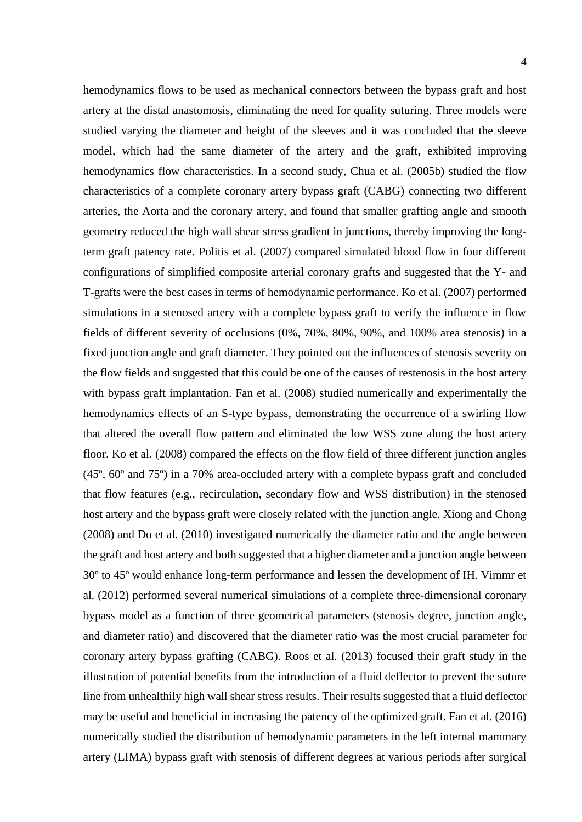hemodynamics flows to be used as mechanical connectors between the bypass graft and host artery at the distal anastomosis, eliminating the need for quality suturing. Three models were studied varying the diameter and height of the sleeves and it was concluded that the sleeve model, which had the same diameter of the artery and the graft, exhibited improving hemodynamics flow characteristics. In a second study, Chua et al. (2005b) studied the flow characteristics of a complete coronary artery bypass graft (CABG) connecting two different arteries, the Aorta and the coronary artery, and found that smaller grafting angle and smooth geometry reduced the high wall shear stress gradient in junctions, thereby improving the longterm graft patency rate. Politis et al. (2007) compared simulated blood flow in four different configurations of simplified composite arterial coronary grafts and suggested that the Y- and T-grafts were the best cases in terms of hemodynamic performance. Ko et al. (2007) performed simulations in a stenosed artery with a complete bypass graft to verify the influence in flow fields of different severity of occlusions (0%, 70%, 80%, 90%, and 100% area stenosis) in a fixed junction angle and graft diameter. They pointed out the influences of stenosis severity on the flow fields and suggested that this could be one of the causes of restenosis in the host artery with bypass graft implantation. Fan et al. (2008) studied numerically and experimentally the hemodynamics effects of an S-type bypass, demonstrating the occurrence of a swirling flow that altered the overall flow pattern and eliminated the low WSS zone along the host artery floor. Ko et al. (2008) compared the effects on the flow field of three different junction angles (45º, 60º and 75º) in a 70% area-occluded artery with a complete bypass graft and concluded that flow features (e.g., recirculation, secondary flow and WSS distribution) in the stenosed host artery and the bypass graft were closely related with the junction angle. Xiong and Chong (2008) and Do et al. (2010) investigated numerically the diameter ratio and the angle between the graft and host artery and both suggested that a higher diameter and a junction angle between 30º to 45º would enhance long-term performance and lessen the development of IH. Vimmr et al. (2012) performed several numerical simulations of a complete three-dimensional coronary bypass model as a function of three geometrical parameters (stenosis degree, junction angle, and diameter ratio) and discovered that the diameter ratio was the most crucial parameter for coronary artery bypass grafting (CABG). Roos et al. (2013) focused their graft study in the illustration of potential benefits from the introduction of a fluid deflector to prevent the suture line from unhealthily high wall shear stress results. Their results suggested that a fluid deflector may be useful and beneficial in increasing the patency of the optimized graft. Fan et al. (2016) numerically studied the distribution of hemodynamic parameters in the left internal mammary artery (LIMA) bypass graft with stenosis of different degrees at various periods after surgical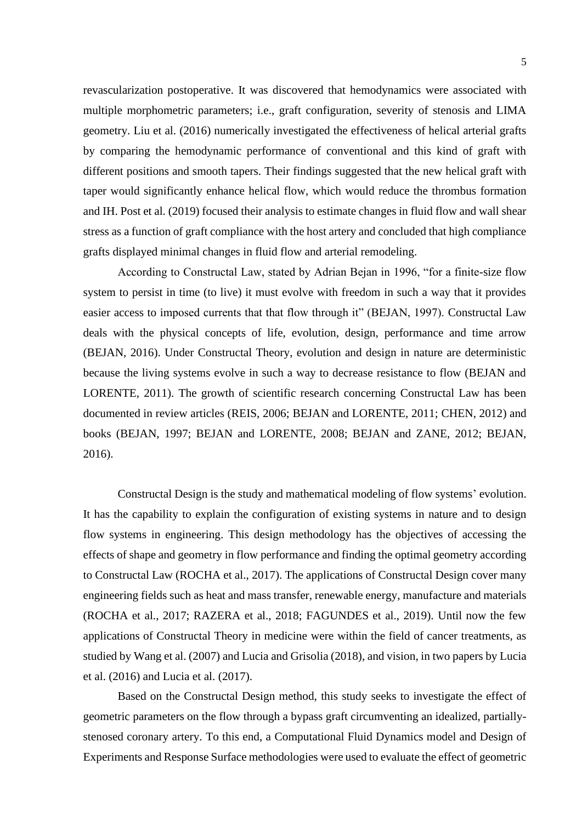revascularization postoperative. It was discovered that hemodynamics were associated with multiple morphometric parameters; i.e., graft configuration, severity of stenosis and LIMA geometry. Liu et al. (2016) numerically investigated the effectiveness of helical arterial grafts by comparing the hemodynamic performance of conventional and this kind of graft with different positions and smooth tapers. Their findings suggested that the new helical graft with taper would significantly enhance helical flow, which would reduce the thrombus formation and IH. Post et al. (2019) focused their analysis to estimate changes in fluid flow and wall shear stress as a function of graft compliance with the host artery and concluded that high compliance grafts displayed minimal changes in fluid flow and arterial remodeling.

According to Constructal Law, stated by Adrian Bejan in 1996, "for a finite-size flow system to persist in time (to live) it must evolve with freedom in such a way that it provides easier access to imposed currents that that flow through it" (BEJAN, 1997). Constructal Law deals with the physical concepts of life, evolution, design, performance and time arrow (BEJAN, 2016). Under Constructal Theory, evolution and design in nature are deterministic because the living systems evolve in such a way to decrease resistance to flow (BEJAN and LORENTE, 2011). The growth of scientific research concerning Constructal Law has been documented in review articles (REIS, 2006; BEJAN and LORENTE, 2011; CHEN, 2012) and books (BEJAN, 1997; BEJAN and LORENTE, 2008; BEJAN and ZANE, 2012; BEJAN, 2016).

Constructal Design is the study and mathematical modeling of flow systems' evolution. It has the capability to explain the configuration of existing systems in nature and to design flow systems in engineering. This design methodology has the objectives of accessing the effects of shape and geometry in flow performance and finding the optimal geometry according to Constructal Law (ROCHA et al., 2017). The applications of Constructal Design cover many engineering fields such as heat and mass transfer, renewable energy, manufacture and materials (ROCHA et al., 2017; RAZERA et al., 2018; FAGUNDES et al., 2019). Until now the few applications of Constructal Theory in medicine were within the field of cancer treatments, as studied by Wang et al. (2007) and Lucia and Grisolia (2018), and vision, in two papers by Lucia et al. (2016) and Lucia et al. (2017).

Based on the Constructal Design method, this study seeks to investigate the effect of geometric parameters on the flow through a bypass graft circumventing an idealized, partiallystenosed coronary artery. To this end, a Computational Fluid Dynamics model and Design of Experiments and Response Surface methodologies were used to evaluate the effect of geometric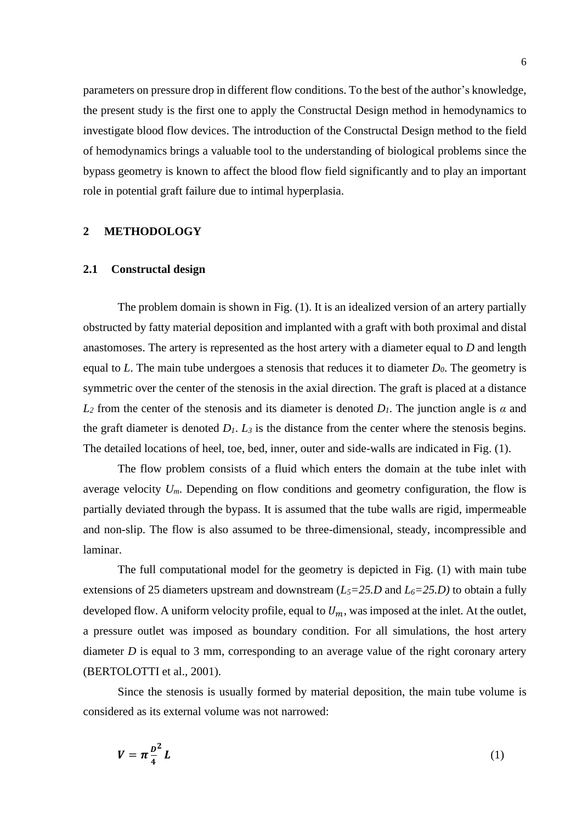parameters on pressure drop in different flow conditions. To the best of the author's knowledge, the present study is the first one to apply the Constructal Design method in hemodynamics to investigate blood flow devices. The introduction of the Constructal Design method to the field of hemodynamics brings a valuable tool to the understanding of biological problems since the bypass geometry is known to affect the blood flow field significantly and to play an important role in potential graft failure due to intimal hyperplasia.

# **2 METHODOLOGY**

#### **2.1 Constructal design**

The problem domain is shown in Fig. (1). It is an idealized version of an artery partially obstructed by fatty material deposition and implanted with a graft with both proximal and distal anastomoses. The artery is represented as the host artery with a diameter equal to *D* and length equal to *L*. The main tube undergoes a stenosis that reduces it to diameter *D0*. The geometry is symmetric over the center of the stenosis in the axial direction. The graft is placed at a distance *L*<sub>2</sub> from the center of the stenosis and its diameter is denoted *D<sub>1</sub>*. The junction angle is *α* and the graft diameter is denoted  $D_1$ .  $L_3$  is the distance from the center where the stenosis begins. The detailed locations of heel, toe, bed, inner, outer and side-walls are indicated in Fig. (1).

The flow problem consists of a fluid which enters the domain at the tube inlet with average velocity  $U_m$ . Depending on flow conditions and geometry configuration, the flow is partially deviated through the bypass. It is assumed that the tube walls are rigid, impermeable and non-slip. The flow is also assumed to be three-dimensional, steady, incompressible and laminar.

The full computational model for the geometry is depicted in Fig. (1) with main tube extensions of 25 diameters upstream and downstream (*L5=25.D* and *L6=25.D)* to obtain a fully developed flow. A uniform velocity profile, equal to  $U_m$ , was imposed at the inlet. At the outlet, a pressure outlet was imposed as boundary condition. For all simulations, the host artery diameter *D* is equal to 3 mm, corresponding to an average value of the right coronary artery (BERTOLOTTI et al., 2001).

Since the stenosis is usually formed by material deposition, the main tube volume is considered as its external volume was not narrowed:

$$
V = \pi \frac{p^2}{4} L \tag{1}
$$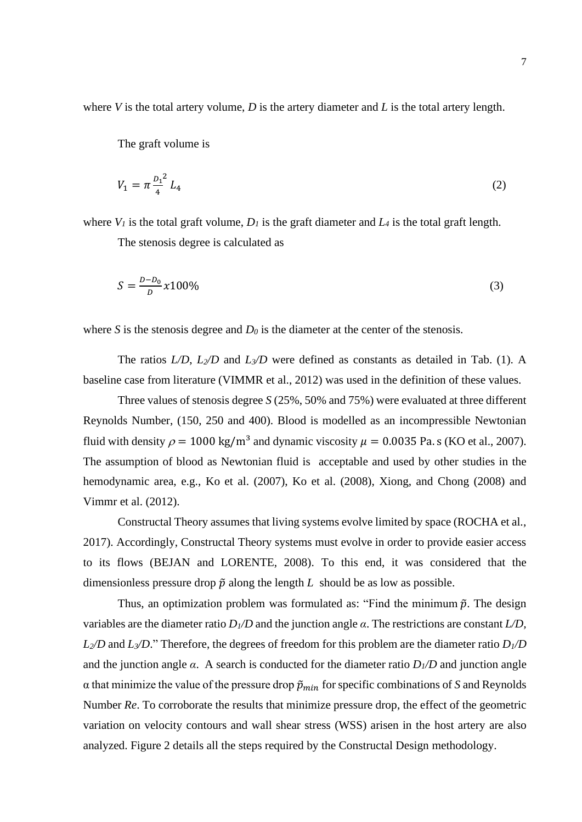where *V* is the total artery volume, *D* is the artery diameter and *L* is the total artery length.

The graft volume is

$$
V_1 = \pi \frac{D_1^2}{4} L_4 \tag{2}
$$

where  $V_I$  is the total graft volume,  $D_I$  is the graft diameter and  $L_I$  is the total graft length.

The stenosis degree is calculated as

$$
S = \frac{D - D_0}{D} \chi 100\%
$$
 (3)

where *S* is the stenosis degree and  $D_0$  is the diameter at the center of the stenosis.

The ratios *L/D*, *L2/D* and *L3/D* were defined as constants as detailed in Tab. (1). A baseline case from literature (VIMMR et al., 2012) was used in the definition of these values.

Three values of stenosis degree *S* (25%, 50% and 75%) were evaluated at three different Reynolds Number, (150, 250 and 400). Blood is modelled as an incompressible Newtonian fluid with density  $\rho = 1000 \text{ kg/m}^3$  and dynamic viscosity  $\mu = 0.0035$  Pa. s (KO et al., 2007). The assumption of blood as Newtonian fluid is acceptable and used by other studies in the hemodynamic area, e.g., Ko et al. (2007), Ko et al. (2008), Xiong, and Chong (2008) and Vimmr et al. (2012).

Constructal Theory assumes that living systems evolve limited by space (ROCHA et al., 2017). Accordingly, Constructal Theory systems must evolve in order to provide easier access to its flows (BEJAN and LORENTE, 2008). To this end, it was considered that the dimensionless pressure drop  $\tilde{p}$  along the length L should be as low as possible.

Thus, an optimization problem was formulated as: "Find the minimum  $\tilde{p}$ . The design variables are the diameter ratio  $D_1/D$  and the junction angle  $\alpha$ . The restrictions are constant  $L/D$ ,  $L_2/D$  and  $L_3/D$ ." Therefore, the degrees of freedom for this problem are the diameter ratio  $D_1/D$ and the junction angle  $\alpha$ . A search is conducted for the diameter ratio  $D_1/D$  and junction angle  $\alpha$  that minimize the value of the pressure drop  $\tilde{p}_{min}$  for specific combinations of *S* and Reynolds Number *Re*. To corroborate the results that minimize pressure drop, the effect of the geometric variation on velocity contours and wall shear stress (WSS) arisen in the host artery are also analyzed. Figure 2 details all the steps required by the Constructal Design methodology.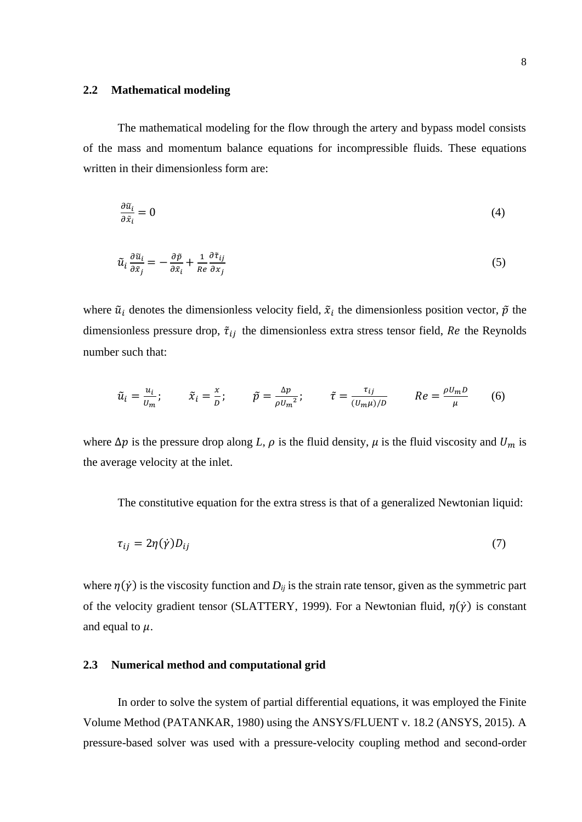## **2.2 Mathematical modeling**

The mathematical modeling for the flow through the artery and bypass model consists of the mass and momentum balance equations for incompressible fluids. These equations written in their dimensionless form are:

$$
\frac{\partial \tilde{u}_i}{\partial \tilde{x}_i} = 0 \tag{4}
$$

$$
\tilde{u}_i \frac{\partial \tilde{u}_i}{\partial \tilde{x}_j} = -\frac{\partial \tilde{p}}{\partial \tilde{x}_i} + \frac{1}{Re} \frac{\partial \tilde{\tau}_{ij}}{\partial x_j}
$$
\n<sup>(5)</sup>

where  $\tilde{u}_i$  denotes the dimensionless velocity field,  $\tilde{x}_i$  the dimensionless position vector,  $\tilde{p}$  the dimensionless pressure drop,  $\tilde{\tau}_{ij}$  the dimensionless extra stress tensor field, Re the Reynolds number such that:

$$
\tilde{u}_i = \frac{u_i}{u_m}; \qquad \tilde{x}_i = \frac{x}{D}; \qquad \tilde{p} = \frac{\Delta p}{\rho u_m^2}; \qquad \tilde{\tau} = \frac{\tau_{ij}}{(u_m \mu)/D} \qquad Re = \frac{\rho u_m D}{\mu} \qquad (6)
$$

where  $\Delta p$  is the pressure drop along *L*,  $\rho$  is the fluid density,  $\mu$  is the fluid viscosity and  $U_m$  is the average velocity at the inlet.

The constitutive equation for the extra stress is that of a generalized Newtonian liquid:

$$
\tau_{ij} = 2\eta(\dot{\gamma})D_{ij} \tag{7}
$$

where  $\eta(\dot{\gamma})$  is the viscosity function and  $D_{ij}$  is the strain rate tensor, given as the symmetric part of the velocity gradient tensor (SLATTERY, 1999). For a Newtonian fluid,  $\eta(\dot{\gamma})$  is constant and equal to  $\mu$ .

#### **2.3 Numerical method and computational grid**

In order to solve the system of partial differential equations, it was employed the Finite Volume Method (PATANKAR, 1980) using the ANSYS/FLUENT v. 18.2 (ANSYS, 2015). A pressure-based solver was used with a pressure-velocity coupling method and second-order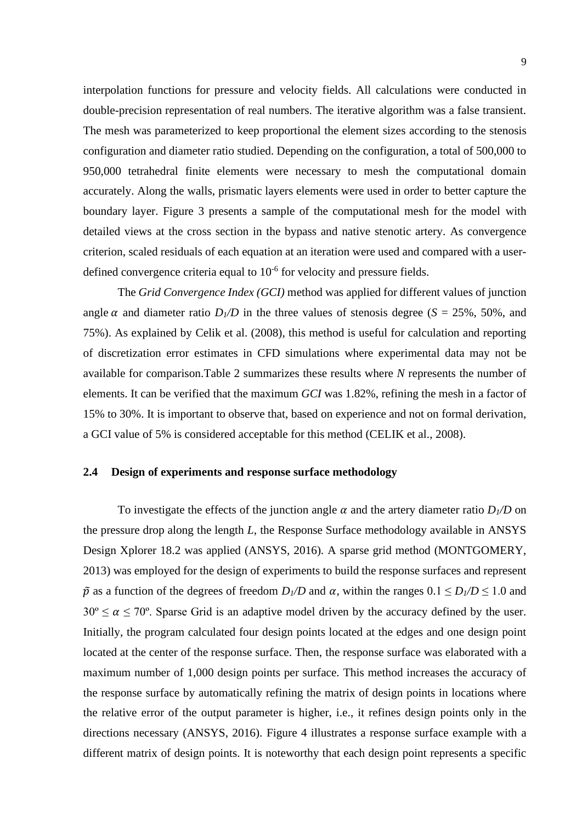interpolation functions for pressure and velocity fields. All calculations were conducted in double-precision representation of real numbers. The iterative algorithm was a false transient. The mesh was parameterized to keep proportional the element sizes according to the stenosis configuration and diameter ratio studied. Depending on the configuration, a total of 500,000 to 950,000 tetrahedral finite elements were necessary to mesh the computational domain accurately. Along the walls, prismatic layers elements were used in order to better capture the boundary layer. Figure 3 presents a sample of the computational mesh for the model with detailed views at the cross section in the bypass and native stenotic artery. As convergence criterion, scaled residuals of each equation at an iteration were used and compared with a userdefined convergence criteria equal to  $10^{-6}$  for velocity and pressure fields.

The *Grid Convergence Index (GCI)* method was applied for different values of junction angle  $\alpha$  and diameter ratio  $D_1/D$  in the three values of stenosis degree ( $S = 25\%$ , 50%, and 75%). As explained by Celik et al. (2008), this method is useful for calculation and reporting of discretization error estimates in CFD simulations where experimental data may not be available for comparison.Table 2 summarizes these results where *N* represents the number of elements. It can be verified that the maximum *GCI* was 1.82%, refining the mesh in a factor of 15% to 30%. It is important to observe that, based on experience and not on formal derivation, a GCI value of 5% is considered acceptable for this method (CELIK et al., 2008).

## **2.4 Design of experiments and response surface methodology**

To investigate the effects of the junction angle  $\alpha$  and the artery diameter ratio  $D_1/D$  on the pressure drop along the length *L*, the Response Surface methodology available in ANSYS Design Xplorer 18.2 was applied (ANSYS, 2016). A sparse grid method (MONTGOMERY, 2013) was employed for the design of experiments to build the response surfaces and represent  $\tilde{p}$  as a function of the degrees of freedom  $D_1/D$  and  $\alpha$ , within the ranges  $0.1 \le D_1/D \le 1.0$  and  $30^{\circ} \le \alpha \le 70^{\circ}$ . Sparse Grid is an adaptive model driven by the accuracy defined by the user. Initially, the program calculated four design points located at the edges and one design point located at the center of the response surface. Then, the response surface was elaborated with a maximum number of 1,000 design points per surface. This method increases the accuracy of the response surface by automatically refining the matrix of design points in locations where the relative error of the output parameter is higher, i.e., it refines design points only in the directions necessary (ANSYS, 2016). Figure 4 illustrates a response surface example with a different matrix of design points. It is noteworthy that each design point represents a specific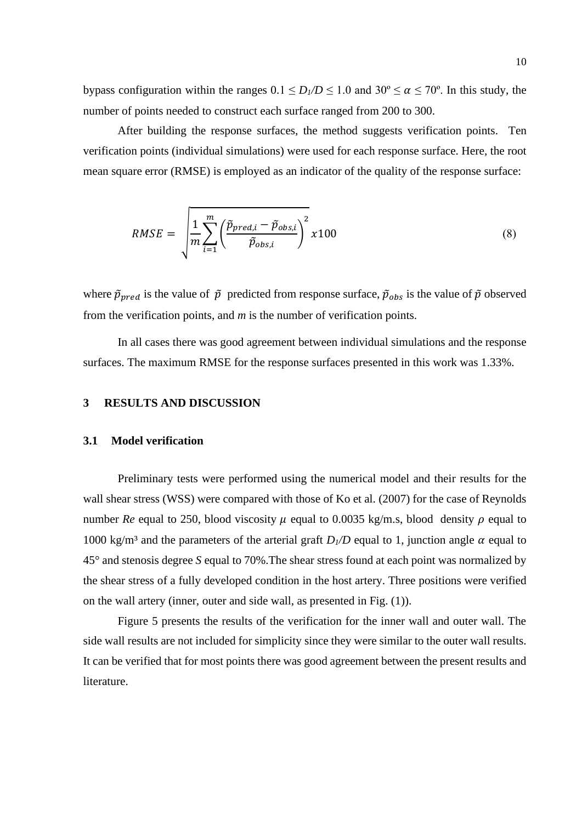bypass configuration within the ranges  $0.1 \le D_I/D \le 1.0$  and  $30^\circ \le \alpha \le 70^\circ$ . In this study, the number of points needed to construct each surface ranged from 200 to 300.

After building the response surfaces, the method suggests verification points. Ten verification points (individual simulations) were used for each response surface. Here, the root mean square error (RMSE) is employed as an indicator of the quality of the response surface:

$$
RMSE = \sqrt{\frac{1}{m} \sum_{i=1}^{m} \left( \frac{\tilde{p}_{pred,i} - \tilde{p}_{obs,i}}{\tilde{p}_{obs,i}} \right)^2 x100}
$$
(8)

where  $\tilde{p}_{pred}$  is the value of  $\tilde{p}$  predicted from response surface,  $\tilde{p}_{obs}$  is the value of  $\tilde{p}$  observed from the verification points, and *m* is the number of verification points.

In all cases there was good agreement between individual simulations and the response surfaces. The maximum RMSE for the response surfaces presented in this work was 1.33%.

## **3 RESULTS AND DISCUSSION**

#### **3.1 Model verification**

Preliminary tests were performed using the numerical model and their results for the wall shear stress (WSS) were compared with those of Ko et al. (2007) for the case of Reynolds number *Re* equal to 250, blood viscosity  $\mu$  equal to 0.0035 kg/m.s, blood density  $\rho$  equal to 1000 kg/m<sup>3</sup> and the parameters of the arterial graft  $D_1/D$  equal to 1, junction angle  $\alpha$  equal to 45° and stenosis degree *S* equal to 70%.The shear stress found at each point was normalized by the shear stress of a fully developed condition in the host artery. Three positions were verified on the wall artery (inner, outer and side wall, as presented in Fig. (1)).

Figure 5 presents the results of the verification for the inner wall and outer wall. The side wall results are not included for simplicity since they were similar to the outer wall results. It can be verified that for most points there was good agreement between the present results and literature.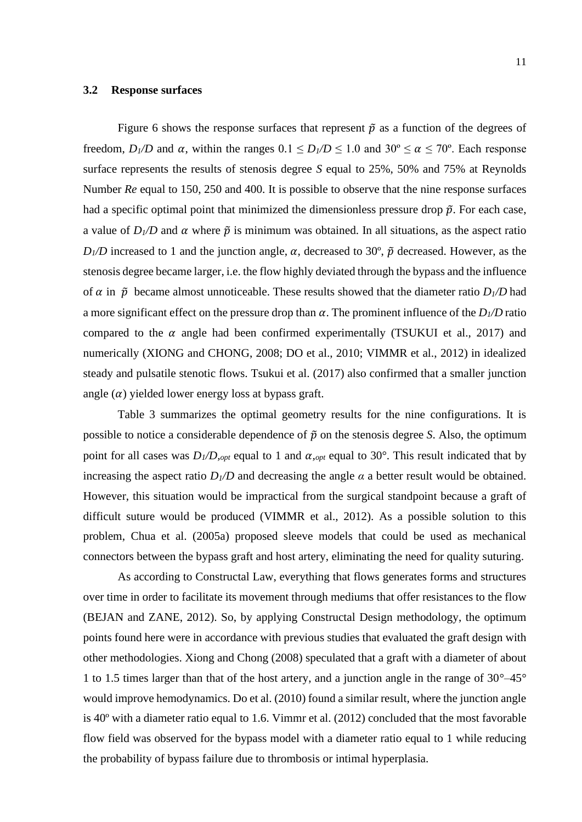## **3.2 Response surfaces**

Figure 6 shows the response surfaces that represent  $\tilde{p}$  as a function of the degrees of freedom,  $D_1/D$  and  $\alpha$ , within the ranges  $0.1 \leq D_1/D \leq 1.0$  and  $30^\circ \leq \alpha \leq 70^\circ$ . Each response surface represents the results of stenosis degree *S* equal to 25%, 50% and 75% at Reynolds Number *Re* equal to 150, 250 and 400. It is possible to observe that the nine response surfaces had a specific optimal point that minimized the dimensionless pressure drop  $\tilde{p}$ . For each case, a value of  $D_1/D$  and  $\alpha$  where  $\tilde{p}$  is minimum was obtained. In all situations, as the aspect ratio  $D_1/D$  increased to 1 and the junction angle,  $\alpha$ , decreased to 30°,  $\tilde{p}$  decreased. However, as the stenosis degree became larger, i.e. the flow highly deviated through the bypass and the influence of  $\alpha$  in  $\tilde{p}$  became almost unnoticeable. These results showed that the diameter ratio  $D_1/D$  had a more significant effect on the pressure drop than  $\alpha$ . The prominent influence of the  $D_1/D$  ratio compared to the  $\alpha$  angle had been confirmed experimentally (TSUKUI et al., 2017) and numerically (XIONG and CHONG, 2008; DO et al., 2010; VIMMR et al., 2012) in idealized steady and pulsatile stenotic flows. Tsukui et al. (2017) also confirmed that a smaller junction angle  $(\alpha)$  yielded lower energy loss at bypass graft.

Table 3 summarizes the optimal geometry results for the nine configurations. It is possible to notice a considerable dependence of  $\tilde{p}$  on the stenosis degree *S*. Also, the optimum point for all cases was  $D_1/D$ , *opt* equal to 1 and  $\alpha$ , *opt* equal to 30°. This result indicated that by increasing the aspect ratio  $D_1/D$  and decreasing the angle  $\alpha$  a better result would be obtained. However, this situation would be impractical from the surgical standpoint because a graft of difficult suture would be produced (VIMMR et al., 2012). As a possible solution to this problem, Chua et al. (2005a) proposed sleeve models that could be used as mechanical connectors between the bypass graft and host artery, eliminating the need for quality suturing.

As according to Constructal Law, everything that flows generates forms and structures over time in order to facilitate its movement through mediums that offer resistances to the flow (BEJAN and ZANE, 2012). So, by applying Constructal Design methodology, the optimum points found here were in accordance with previous studies that evaluated the graft design with other methodologies. Xiong and Chong (2008) speculated that a graft with a diameter of about 1 to 1.5 times larger than that of the host artery, and a junction angle in the range of 30°–45° would improve hemodynamics. Do et al. (2010) found a similar result, where the junction angle is 40º with a diameter ratio equal to 1.6. Vimmr et al. (2012) concluded that the most favorable flow field was observed for the bypass model with a diameter ratio equal to 1 while reducing the probability of bypass failure due to thrombosis or intimal hyperplasia.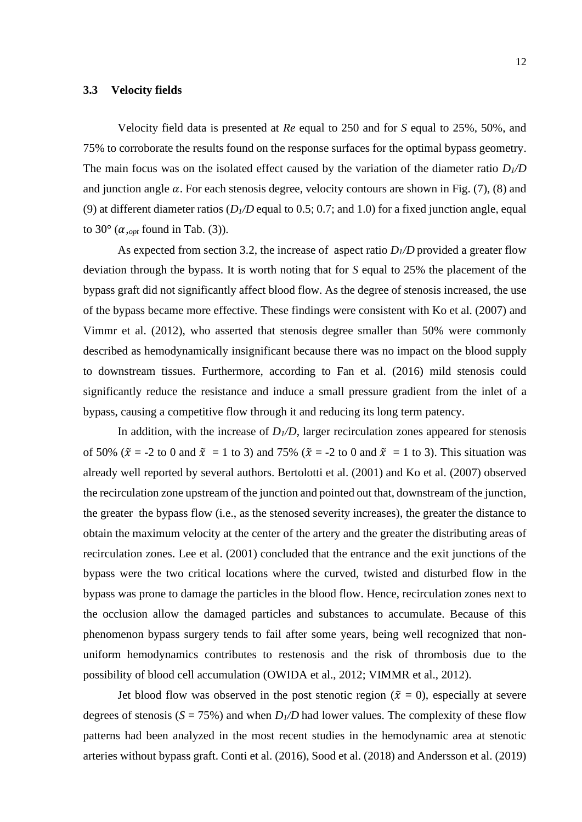## **3.3 Velocity fields**

Velocity field data is presented at *Re* equal to 250 and for *S* equal to 25%, 50%, and 75% to corroborate the results found on the response surfaces for the optimal bypass geometry. The main focus was on the isolated effect caused by the variation of the diameter ratio  $D_1/D$ and junction angle  $\alpha$ . For each stenosis degree, velocity contours are shown in Fig. (7), (8) and (9) at different diameter ratios  $(D_1/D)$  equal to 0.5; 0.7; and 1.0) for a fixed junction angle, equal to  $30^{\circ}$  ( $\alpha_{\text{cont}}$  found in Tab. (3)).

As expected from section 3.2, the increase of aspect ratio  $D_1/D$  provided a greater flow deviation through the bypass. It is worth noting that for *S* equal to 25% the placement of the bypass graft did not significantly affect blood flow. As the degree of stenosis increased, the use of the bypass became more effective. These findings were consistent with Ko et al. (2007) and Vimmr et al. (2012), who asserted that stenosis degree smaller than 50% were commonly described as hemodynamically insignificant because there was no impact on the blood supply to downstream tissues. Furthermore, according to Fan et al. (2016) mild stenosis could significantly reduce the resistance and induce a small pressure gradient from the inlet of a bypass, causing a competitive flow through it and reducing its long term patency.

In addition, with the increase of  $D_1/D$ , larger recirculation zones appeared for stenosis of 50% ( $\tilde{x}$  = -2 to 0 and  $\tilde{x}$  = 1 to 3) and 75% ( $\tilde{x}$  = -2 to 0 and  $\tilde{x}$  = 1 to 3). This situation was already well reported by several authors. Bertolotti et al. (2001) and Ko et al. (2007) observed the recirculation zone upstream of the junction and pointed out that, downstream of the junction, the greater the bypass flow (i.e., as the stenosed severity increases), the greater the distance to obtain the maximum velocity at the center of the artery and the greater the distributing areas of recirculation zones. Lee et al. (2001) concluded that the entrance and the exit junctions of the bypass were the two critical locations where the curved, twisted and disturbed flow in the bypass was prone to damage the particles in the blood flow. Hence, recirculation zones next to the occlusion allow the damaged particles and substances to accumulate. Because of this phenomenon bypass surgery tends to fail after some years, being well recognized that nonuniform hemodynamics contributes to restenosis and the risk of thrombosis due to the possibility of blood cell accumulation (OWIDA et al., 2012; VIMMR et al., 2012).

Jet blood flow was observed in the post stenotic region ( $\tilde{x} = 0$ ), especially at severe degrees of stenosis ( $S = 75\%$ ) and when  $D_I/D$  had lower values. The complexity of these flow patterns had been analyzed in the most recent studies in the hemodynamic area at stenotic arteries without bypass graft. Conti et al. (2016), Sood et al. (2018) and Andersson et al. (2019)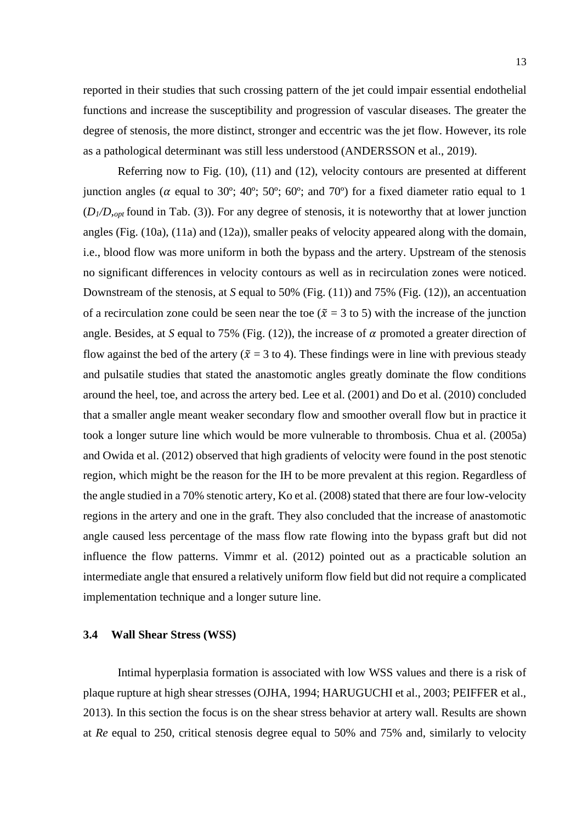reported in their studies that such crossing pattern of the jet could impair essential endothelial functions and increase the susceptibility and progression of vascular diseases. The greater the degree of stenosis, the more distinct, stronger and eccentric was the jet flow. However, its role as a pathological determinant was still less understood (ANDERSSON et al., 2019).

Referring now to Fig. (10), (11) and (12), velocity contours are presented at different junction angles ( $\alpha$  equal to 30°; 40°; 50°; 60°; and 70°) for a fixed diameter ratio equal to 1  $(D_1/D_{opt}$  found in Tab. (3)). For any degree of stenosis, it is noteworthy that at lower junction angles (Fig. (10a), (11a) and (12a)), smaller peaks of velocity appeared along with the domain, i.e., blood flow was more uniform in both the bypass and the artery. Upstream of the stenosis no significant differences in velocity contours as well as in recirculation zones were noticed. Downstream of the stenosis, at *S* equal to 50% (Fig. (11)) and 75% (Fig. (12)), an accentuation of a recirculation zone could be seen near the toe ( $\tilde{x} = 3$  to 5) with the increase of the junction angle. Besides, at *S* equal to 75% (Fig.  $(12)$ ), the increase of  $\alpha$  promoted a greater direction of flow against the bed of the artery ( $\tilde{x} = 3$  to 4). These findings were in line with previous steady and pulsatile studies that stated the anastomotic angles greatly dominate the flow conditions around the heel, toe, and across the artery bed. Lee et al. (2001) and Do et al. (2010) concluded that a smaller angle meant weaker secondary flow and smoother overall flow but in practice it took a longer suture line which would be more vulnerable to thrombosis. Chua et al. (2005a) and Owida et al. (2012) observed that high gradients of velocity were found in the post stenotic region, which might be the reason for the IH to be more prevalent at this region. Regardless of the angle studied in a 70% stenotic artery, Ko et al. (2008) stated that there are four low-velocity regions in the artery and one in the graft. They also concluded that the increase of anastomotic angle caused less percentage of the mass flow rate flowing into the bypass graft but did not influence the flow patterns. Vimmr et al. (2012) pointed out as a practicable solution an intermediate angle that ensured a relatively uniform flow field but did not require a complicated implementation technique and a longer suture line.

## **3.4 Wall Shear Stress (WSS)**

Intimal hyperplasia formation is associated with low WSS values and there is a risk of plaque rupture at high shear stresses (OJHA, 1994; HARUGUCHI et al., 2003; PEIFFER et al., 2013). In this section the focus is on the shear stress behavior at artery wall. Results are shown at *Re* equal to 250, critical stenosis degree equal to 50% and 75% and, similarly to velocity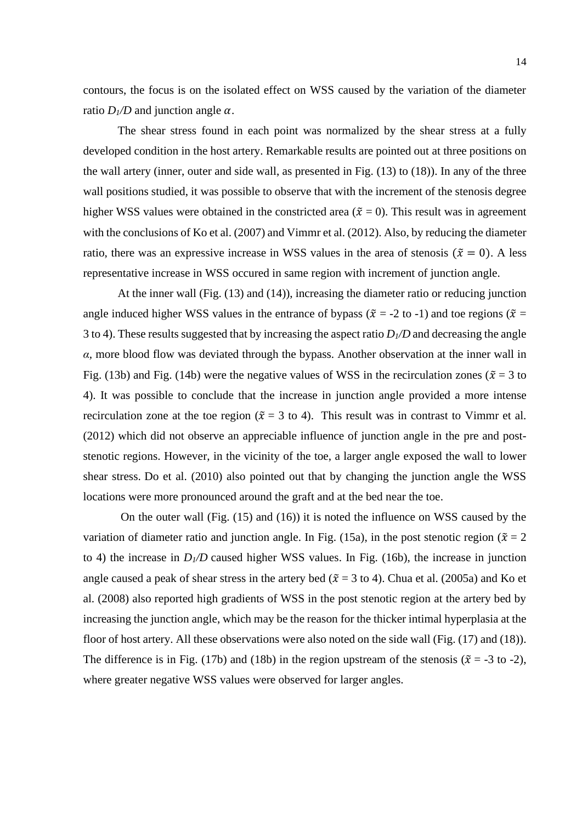contours, the focus is on the isolated effect on WSS caused by the variation of the diameter ratio  $D_1/D$  and junction angle  $\alpha$ .

The shear stress found in each point was normalized by the shear stress at a fully developed condition in the host artery. Remarkable results are pointed out at three positions on the wall artery (inner, outer and side wall, as presented in Fig. (13) to (18)). In any of the three wall positions studied, it was possible to observe that with the increment of the stenosis degree higher WSS values were obtained in the constricted area ( $\tilde{x} = 0$ ). This result was in agreement with the conclusions of Ko et al. (2007) and Vimmr et al. (2012). Also, by reducing the diameter ratio, there was an expressive increase in WSS values in the area of stenosis ( $\tilde{x} = 0$ ). A less representative increase in WSS occured in same region with increment of junction angle.

At the inner wall (Fig. (13) and (14)), increasing the diameter ratio or reducing junction angle induced higher WSS values in the entrance of bypass ( $\tilde{x} = -2$  to -1) and toe regions ( $\tilde{x} =$ 3 to 4). These results suggested that by increasing the aspect ratio *D1/D* and decreasing the angle *α,* more blood flow was deviated through the bypass. Another observation at the inner wall in Fig. (13b) and Fig. (14b) were the negative values of WSS in the recirculation zones ( $\tilde{x} = 3$  to 4). It was possible to conclude that the increase in junction angle provided a more intense recirculation zone at the toe region ( $\tilde{x} = 3$  to 4). This result was in contrast to Vimmr et al. (2012) which did not observe an appreciable influence of junction angle in the pre and poststenotic regions. However, in the vicinity of the toe, a larger angle exposed the wall to lower shear stress. Do et al. (2010) also pointed out that by changing the junction angle the WSS locations were more pronounced around the graft and at the bed near the toe.

On the outer wall (Fig. (15) and (16)) it is noted the influence on WSS caused by the variation of diameter ratio and junction angle. In Fig. (15a), in the post stenotic region ( $\tilde{x} = 2$ to 4) the increase in  $D_1/D$  caused higher WSS values. In Fig. (16b), the increase in junction angle caused a peak of shear stress in the artery bed ( $\tilde{x} = 3$  to 4). Chua et al. (2005a) and Ko et al. (2008) also reported high gradients of WSS in the post stenotic region at the artery bed by increasing the junction angle, which may be the reason for the thicker intimal hyperplasia at the floor of host artery. All these observations were also noted on the side wall (Fig. (17) and (18)). The difference is in Fig. (17b) and (18b) in the region upstream of the stenosis ( $\tilde{x} = -3$  to -2), where greater negative WSS values were observed for larger angles.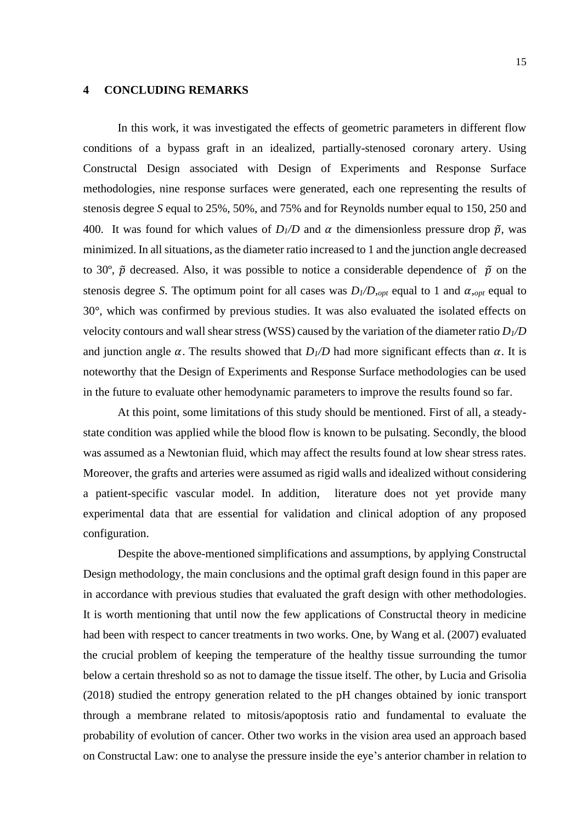## **4 CONCLUDING REMARKS**

In this work, it was investigated the effects of geometric parameters in different flow conditions of a bypass graft in an idealized, partially-stenosed coronary artery. Using Constructal Design associated with Design of Experiments and Response Surface methodologies, nine response surfaces were generated, each one representing the results of stenosis degree *S* equal to 25%, 50%, and 75% and for Reynolds number equal to 150, 250 and 400. It was found for which values of  $D_1/D$  and  $\alpha$  the dimensionless pressure drop  $\tilde{p}$ , was minimized. In all situations, as the diameter ratio increased to 1 and the junction angle decreased to 30°,  $\tilde{p}$  decreased. Also, it was possible to notice a considerable dependence of  $\tilde{p}$  on the stenosis degree *S*. The optimum point for all cases was  $D_1/D$ , *opt* equal to 1 and  $\alpha$ , *opt* equal to 30°, which was confirmed by previous studies. It was also evaluated the isolated effects on velocity contours and wall shear stress (WSS) caused by the variation of the diameter ratio *D1/D* and junction angle  $\alpha$ . The results showed that  $D_1/D$  had more significant effects than  $\alpha$ . It is noteworthy that the Design of Experiments and Response Surface methodologies can be used in the future to evaluate other hemodynamic parameters to improve the results found so far.

At this point, some limitations of this study should be mentioned. First of all, a steadystate condition was applied while the blood flow is known to be pulsating. Secondly, the blood was assumed as a Newtonian fluid, which may affect the results found at low shear stress rates. Moreover, the grafts and arteries were assumed as rigid walls and idealized without considering a patient-specific vascular model. In addition, literature does not yet provide many experimental data that are essential for validation and clinical adoption of any proposed configuration.

Despite the above-mentioned simplifications and assumptions, by applying Constructal Design methodology, the main conclusions and the optimal graft design found in this paper are in accordance with previous studies that evaluated the graft design with other methodologies. It is worth mentioning that until now the few applications of Constructal theory in medicine had been with respect to cancer treatments in two works. One, by Wang et al. (2007) evaluated the crucial problem of keeping the temperature of the healthy tissue surrounding the tumor below a certain threshold so as not to damage the tissue itself. The other, by Lucia and Grisolia (2018) studied the entropy generation related to the pH changes obtained by ionic transport through a membrane related to mitosis/apoptosis ratio and fundamental to evaluate the probability of evolution of cancer. Other two works in the vision area used an approach based on Constructal Law: one to analyse the pressure inside the eye's anterior chamber in relation to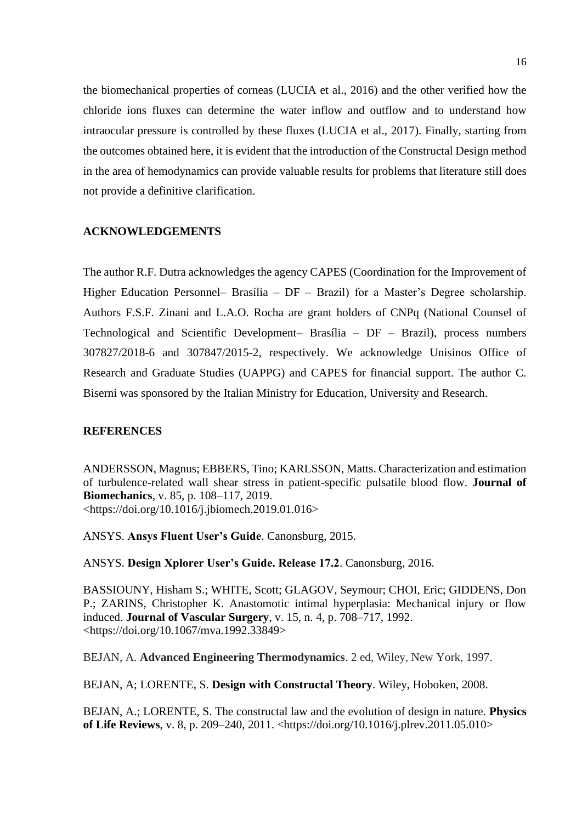the biomechanical properties of corneas (LUCIA et al., 2016) and the other verified how the chloride ions fluxes can determine the water inflow and outflow and to understand how intraocular pressure is controlled by these fluxes (LUCIA et al., 2017). Finally, starting from the outcomes obtained here, it is evident that the introduction of the Constructal Design method in the area of hemodynamics can provide valuable results for problems that literature still does not provide a definitive clarification.

# **ACKNOWLEDGEMENTS**

The author R.F. Dutra acknowledges the agency CAPES (Coordination for the Improvement of Higher Education Personnel– Brasília – DF – Brazil) for a Master's Degree scholarship. Authors F.S.F. Zinani and L.A.O. Rocha are grant holders of CNPq (National Counsel of Technological and Scientific Development– Brasília – DF – Brazil), process numbers 307827/2018-6 and 307847/2015-2, respectively. We acknowledge Unisinos Office of Research and Graduate Studies (UAPPG) and CAPES for financial support. The author C. Biserni was sponsored by the Italian Ministry for Education, University and Research.

## **REFERENCES**

ANDERSSON, Magnus; EBBERS, Tino; KARLSSON, Matts. Characterization and estimation of turbulence-related wall shear stress in patient-specific pulsatile blood flow. **Journal of Biomechanics**, v. 85, p. 108–117, 2019. <https://doi.org/10.1016/j.jbiomech.2019.01.016>

ANSYS. **Ansys Fluent User's Guide**. Canonsburg, 2015.

ANSYS. **Design Xplorer User's Guide. Release 17.2**. Canonsburg, 2016.

BASSIOUNY, Hisham S.; WHITE, Scott; GLAGOV, Seymour; CHOI, Eric; GIDDENS, Don P.; ZARINS, Christopher K. Anastomotic intimal hyperplasia: Mechanical injury or flow induced. **Journal of Vascular Surgery**, v. 15, n. 4, p. 708–717, 1992. <https://doi.org/10.1067/mva.1992.33849>

BEJAN, A. **Advanced Engineering Thermodynamics**. 2 ed, Wiley, New York, 1997.

BEJAN, A; LORENTE, S. **Design with Constructal Theory**. Wiley, Hoboken, 2008.

BEJAN, A.; LORENTE, S. The constructal law and the evolution of design in nature. **Physics of Life Reviews**, v. 8, p. 209–240, 2011. <https://doi.org/10.1016/j.plrev.2011.05.010>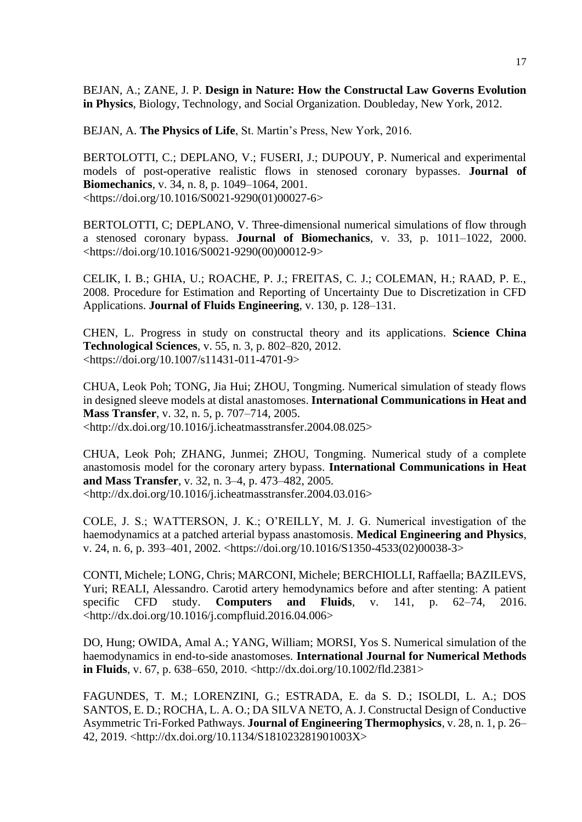BEJAN, A.; ZANE, J. P. **Design in Nature: How the Constructal Law Governs Evolution in Physics**, Biology, Technology, and Social Organization. Doubleday, New York, 2012.

BEJAN, A. **The Physics of Life**, St. Martin's Press, New York, 2016.

BERTOLOTTI, C.; DEPLANO, V.; FUSERI, J.; DUPOUY, P. Numerical and experimental models of post-operative realistic flows in stenosed coronary bypasses. **Journal of Biomechanics**, v. 34, n. 8, p. 1049–1064, 2001. <https://doi.org/10.1016/S0021-9290(01)00027-6>

BERTOLOTTI, C; DEPLANO, V. Three-dimensional numerical simulations of flow through a stenosed coronary bypass. **Journal of Biomechanics**, v. 33, p. 1011–1022, 2000. <https://doi.org/10.1016/S0021-9290(00)00012-9>

CELIK, I. B.; GHIA, U.; ROACHE, P. J.; FREITAS, C. J.; COLEMAN, H.; RAAD, P. E., 2008. Procedure for Estimation and Reporting of Uncertainty Due to Discretization in CFD Applications. **Journal of Fluids Engineering**, v. 130, p. 128–131.

CHEN, L. Progress in study on constructal theory and its applications. **Science China Technological Sciences**, v. 55, n. 3, p. 802–820, 2012. <https://doi.org/10.1007/s11431-011-4701-9>

CHUA, Leok Poh; TONG, Jia Hui; ZHOU, Tongming. Numerical simulation of steady flows in designed sleeve models at distal anastomoses. **International Communications in Heat and Mass Transfer**, v. 32, n. 5, p. 707–714, 2005.  $\lt$ http://dx.doi.org/10.1016/j.icheatmasstransfer.2004.08.025>

CHUA, Leok Poh; ZHANG, Junmei; ZHOU, Tongming. Numerical study of a complete anastomosis model for the coronary artery bypass. **International Communications in Heat and Mass Transfer**, v. 32, n. 3–4, p. 473–482, 2005. <http://dx.doi.org/10.1016/j.icheatmasstransfer.2004.03.016>

COLE, J. S.; WATTERSON, J. K.; O'REILLY, M. J. G. Numerical investigation of the haemodynamics at a patched arterial bypass anastomosis. **Medical Engineering and Physics**, v. 24, n. 6, p. 393–401, 2002. <https://doi.org/10.1016/S1350-4533(02)00038-3>

CONTI, Michele; LONG, Chris; MARCONI, Michele; BERCHIOLLI, Raffaella; BAZILEVS, Yuri; REALI, Alessandro. Carotid artery hemodynamics before and after stenting: A patient specific CFD study. **Computers and Fluids**, v. 141, p. 62–74, 2016. <http://dx.doi.org/10.1016/j.compfluid.2016.04.006>

DO, Hung; OWIDA, Amal A.; YANG, William; MORSI, Yos S. Numerical simulation of the haemodynamics in end-to-side anastomoses. **International Journal for Numerical Methods in Fluids**, v. 67, p. 638–650, 2010. <http://dx.doi.org/10.1002/fld.2381>

FAGUNDES, T. M.; LORENZINI, G.; ESTRADA, E. da S. D.; ISOLDI, L. A.; DOS SANTOS, E. D.; ROCHA, L. A. O.; DA SILVA NETO, A. J. Constructal Design of Conductive Asymmetric Tri-Forked Pathways. **Journal of Engineering Thermophysics**, v. 28, n. 1, p. 26– 42, 2019. <http://dx.doi.org/10.1134/S181023281901003X>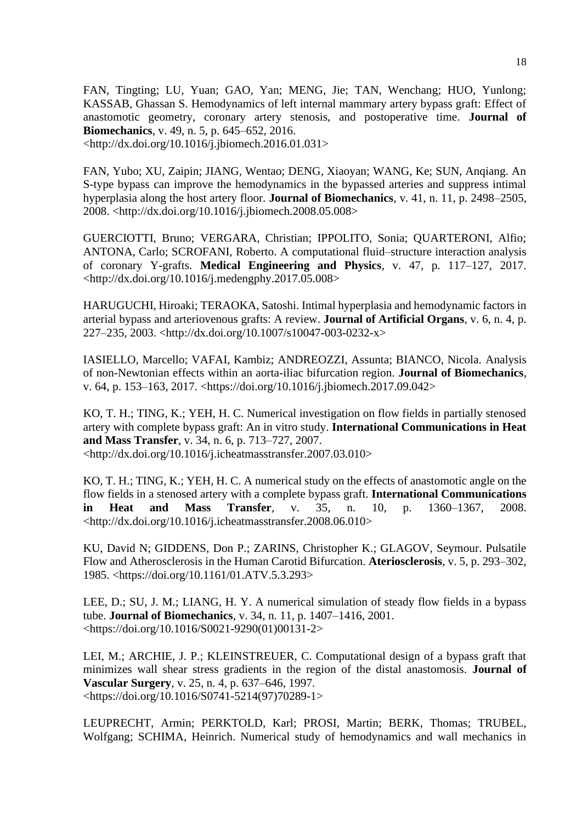FAN, Tingting; LU, Yuan; GAO, Yan; MENG, Jie; TAN, Wenchang; HUO, Yunlong; KASSAB, Ghassan S. Hemodynamics of left internal mammary artery bypass graft: Effect of anastomotic geometry, coronary artery stenosis, and postoperative time. **Journal of Biomechanics**, v. 49, n. 5, p. 645–652, 2016. <http://dx.doi.org/10.1016/j.jbiomech.2016.01.031>

FAN, Yubo; XU, Zaipin; JIANG, Wentao; DENG, Xiaoyan; WANG, Ke; SUN, Anqiang. An S-type bypass can improve the hemodynamics in the bypassed arteries and suppress intimal hyperplasia along the host artery floor. **Journal of Biomechanics**, v. 41, n. 11, p. 2498–2505, 2008. <http://dx.doi.org/10.1016/j.jbiomech.2008.05.008>

GUERCIOTTI, Bruno; VERGARA, Christian; IPPOLITO, Sonia; QUARTERONI, Alfio; ANTONA, Carlo; SCROFANI, Roberto. A computational fluid–structure interaction analysis of coronary Y-grafts. **Medical Engineering and Physics**, v. 47, p. 117–127, 2017. <http://dx.doi.org/10.1016/j.medengphy.2017.05.008>

HARUGUCHI, Hiroaki; TERAOKA, Satoshi. Intimal hyperplasia and hemodynamic factors in arterial bypass and arteriovenous grafts: A review. **Journal of Artificial Organs**, v. 6, n. 4, p. 227–235, 2003. <http://dx.doi.org/10.1007/s10047-003-0232-x>

IASIELLO, Marcello; VAFAI, Kambiz; ANDREOZZI, Assunta; BIANCO, Nicola. Analysis of non-Newtonian effects within an aorta-iliac bifurcation region. **Journal of Biomechanics**, v. 64, p. 153–163, 2017. <https://doi.org/10.1016/j.jbiomech.2017.09.042>

KO, T. H.; TING, K.; YEH, H. C. Numerical investigation on flow fields in partially stenosed artery with complete bypass graft: An in vitro study. **International Communications in Heat and Mass Transfer**, v. 34, n. 6, p. 713–727, 2007. <http://dx.doi.org/10.1016/j.icheatmasstransfer.2007.03.010>

KO, T. H.; TING, K.; YEH, H. C. A numerical study on the effects of anastomotic angle on the flow fields in a stenosed artery with a complete bypass graft. **International Communications in Heat and Mass Transfer**, v. 35, n. 10, p. 1360–1367, 2008. <http://dx.doi.org/10.1016/j.icheatmasstransfer.2008.06.010>

KU, David N; GIDDENS, Don P.; ZARINS, Christopher K.; GLAGOV, Seymour. Pulsatile Flow and Atherosclerosis in the Human Carotid Bifurcation. **Ateriosclerosis**, v. 5, p. 293–302, 1985. <https://doi.org/10.1161/01.ATV.5.3.293>

LEE, D.; SU, J. M.; LIANG, H. Y. A numerical simulation of steady flow fields in a bypass tube. **Journal of Biomechanics**, v. 34, n. 11, p. 1407–1416, 2001. <https://doi.org/10.1016/S0021-9290(01)00131-2>

LEI, M.; ARCHIE, J. P.; KLEINSTREUER, C. Computational design of a bypass graft that minimizes wall shear stress gradients in the region of the distal anastomosis. **Journal of Vascular Surgery**, v. 25, n. 4, p. 637–646, 1997. <https://doi.org/10.1016/S0741-5214(97)70289-1>

LEUPRECHT, Armin; PERKTOLD, Karl; PROSI, Martin; BERK, Thomas; TRUBEL, Wolfgang; SCHIMA, Heinrich. Numerical study of hemodynamics and wall mechanics in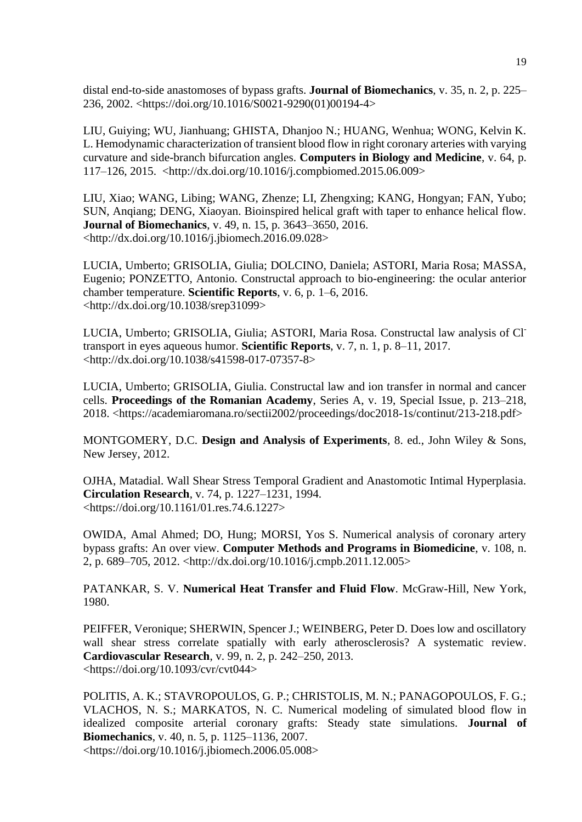distal end-to-side anastomoses of bypass grafts. **Journal of Biomechanics**, v. 35, n. 2, p. 225– 236, 2002. <https://doi.org/10.1016/S0021-9290(01)00194-4>

LIU, Guiying; WU, Jianhuang; GHISTA, Dhanjoo N.; HUANG, Wenhua; WONG, Kelvin K. L. Hemodynamic characterization of transient blood flow in right coronary arteries with varying curvature and side-branch bifurcation angles. **Computers in Biology and Medicine**, v. 64, p. 117–126, 2015. <http://dx.doi.org/10.1016/j.compbiomed.2015.06.009>

LIU, Xiao; WANG, Libing; WANG, Zhenze; LI, Zhengxing; KANG, Hongyan; FAN, Yubo; SUN, Anqiang; DENG, Xiaoyan. Bioinspired helical graft with taper to enhance helical flow. **Journal of Biomechanics**, v. 49, n. 15, p. 3643–3650, 2016. <http://dx.doi.org/10.1016/j.jbiomech.2016.09.028>

LUCIA, Umberto; GRISOLIA, Giulia; DOLCINO, Daniela; ASTORI, Maria Rosa; MASSA, Eugenio; PONZETTO, Antonio. Constructal approach to bio-engineering: the ocular anterior chamber temperature. **Scientific Reports**, v. 6, p. 1–6, 2016. <http://dx.doi.org/10.1038/srep31099>

LUCIA, Umberto; GRISOLIA, Giulia; ASTORI, Maria Rosa. Constructal law analysis of Cltransport in eyes aqueous humor. **Scientific Reports**, v. 7, n. 1, p. 8–11, 2017. <http://dx.doi.org/10.1038/s41598-017-07357-8>

LUCIA, Umberto; GRISOLIA, Giulia. Constructal law and ion transfer in normal and cancer cells. **Proceedings of the Romanian Academy**, Series A, v. 19, Special Issue, p. 213–218, 2018. <https://academiaromana.ro/sectii2002/proceedings/doc2018-1s/continut/213-218.pdf>

MONTGOMERY, D.C. **Design and Analysis of Experiments**, 8. ed., John Wiley & Sons, New Jersey, 2012.

OJHA, Matadial. Wall Shear Stress Temporal Gradient and Anastomotic Intimal Hyperplasia. **Circulation Research**, v. 74, p. 1227–1231, 1994. <https://doi.org/10.1161/01.res.74.6.1227>

OWIDA, Amal Ahmed; DO, Hung; MORSI, Yos S. Numerical analysis of coronary artery bypass grafts: An over view. **Computer Methods and Programs in Biomedicine**, v. 108, n. 2, p. 689–705, 2012. <http://dx.doi.org/10.1016/j.cmpb.2011.12.005>

PATANKAR, S. V. **Numerical Heat Transfer and Fluid Flow**. McGraw-Hill, New York, 1980.

PEIFFER, Veronique; SHERWIN, Spencer J.; WEINBERG, Peter D. Does low and oscillatory wall shear stress correlate spatially with early atherosclerosis? A systematic review. **Cardiovascular Research**, v. 99, n. 2, p. 242–250, 2013. <https://doi.org/10.1093/cvr/cvt044>

POLITIS, A. K.; STAVROPOULOS, G. P.; CHRISTOLIS, M. N.; PANAGOPOULOS, F. G.; VLACHOS, N. S.; MARKATOS, N. C. Numerical modeling of simulated blood flow in idealized composite arterial coronary grafts: Steady state simulations. **Journal of Biomechanics**, v. 40, n. 5, p. 1125–1136, 2007.

<https://doi.org/10.1016/j.jbiomech.2006.05.008>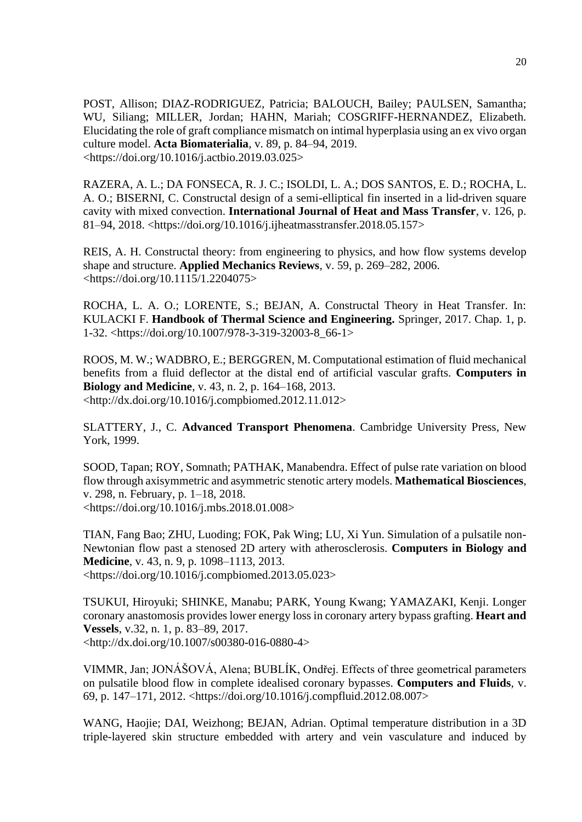POST, Allison; DIAZ-RODRIGUEZ, Patricia; BALOUCH, Bailey; PAULSEN, Samantha; WU, Siliang; MILLER, Jordan; HAHN, Mariah; COSGRIFF-HERNANDEZ, Elizabeth. Elucidating the role of graft compliance mismatch on intimal hyperplasia using an ex vivo organ culture model. **Acta Biomaterialia**, v. 89, p. 84–94, 2019. <https://doi.org/10.1016/j.actbio.2019.03.025>

RAZERA, A. L.; DA FONSECA, R. J. C.; ISOLDI, L. A.; DOS SANTOS, E. D.; ROCHA, L. A. O.; BISERNI, C. Constructal design of a semi-elliptical fin inserted in a lid-driven square cavity with mixed convection. **International Journal of Heat and Mass Transfer**, v. 126, p. 81–94, 2018. <https://doi.org/10.1016/j.ijheatmasstransfer.2018.05.157>

REIS, A. H. Constructal theory: from engineering to physics, and how flow systems develop shape and structure. **Applied Mechanics Reviews**, v. 59, p. 269–282, 2006. <https://doi.org/10.1115/1.2204075>

ROCHA, L. A. O.; LORENTE, S.; BEJAN, A. Constructal Theory in Heat Transfer. In: KULACKI F. **Handbook of Thermal Science and Engineering.** Springer, 2017. Chap. 1, p. 1-32. <https://doi.org/10.1007/978-3-319-32003-8\_66-1>

ROOS, M. W.; WADBRO, E.; BERGGREN, M. Computational estimation of fluid mechanical benefits from a fluid deflector at the distal end of artificial vascular grafts. **Computers in Biology and Medicine**, v. 43, n. 2, p. 164–168, 2013. <http://dx.doi.org/10.1016/j.compbiomed.2012.11.012>

SLATTERY, J., C. **Advanced Transport Phenomena**. Cambridge University Press, New York, 1999.

SOOD, Tapan; ROY, Somnath; PATHAK, Manabendra. Effect of pulse rate variation on blood flow through axisymmetric and asymmetric stenotic artery models. **Mathematical Biosciences**, v. 298, n. February, p. 1–18, 2018. <https://doi.org/10.1016/j.mbs.2018.01.008>

TIAN, Fang Bao; ZHU, Luoding; FOK, Pak Wing; LU, Xi Yun. Simulation of a pulsatile non-Newtonian flow past a stenosed 2D artery with atherosclerosis. **Computers in Biology and Medicine**, v. 43, n. 9, p. 1098–1113, 2013. <https://doi.org/10.1016/j.compbiomed.2013.05.023>

TSUKUI, Hiroyuki; SHINKE, Manabu; PARK, Young Kwang; YAMAZAKI, Kenji. Longer coronary anastomosis provides lower energy loss in coronary artery bypass grafting. **Heart and Vessels**, v.32, n. 1, p. 83–89, 2017. <http://dx.doi.org/10.1007/s00380-016-0880-4>

VIMMR, Jan; JONÁŠOVÁ, Alena; BUBLÍK, Ondřej. Effects of three geometrical parameters on pulsatile blood flow in complete idealised coronary bypasses. **Computers and Fluids**, v. 69, p. 147–171, 2012. <https://doi.org/10.1016/j.compfluid.2012.08.007>

WANG, Haojie; DAI, Weizhong; BEJAN, Adrian. Optimal temperature distribution in a 3D triple-layered skin structure embedded with artery and vein vasculature and induced by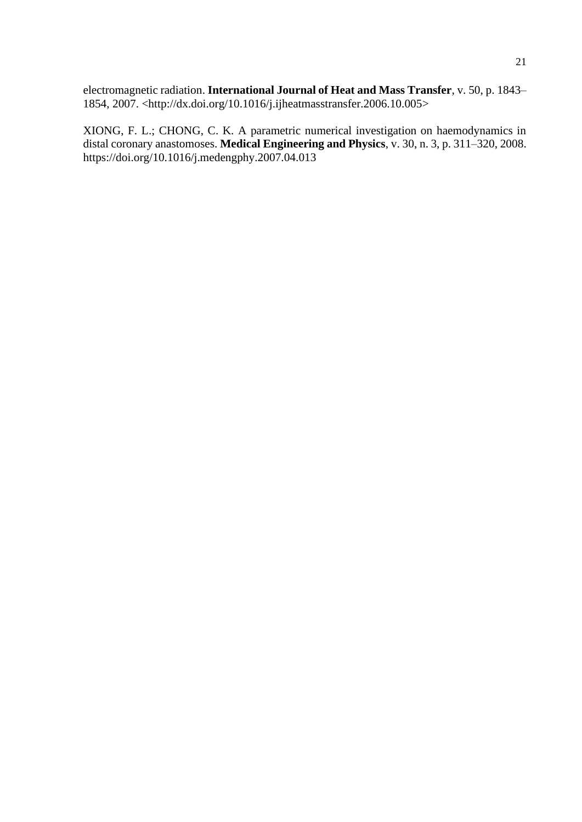electromagnetic radiation. **International Journal of Heat and Mass Transfer**, v. 50, p. 1843– 1854, 2007. <http://dx.doi.org/10.1016/j.ijheatmasstransfer.2006.10.005>

XIONG, F. L.; CHONG, C. K. A parametric numerical investigation on haemodynamics in distal coronary anastomoses. **Medical Engineering and Physics**, v. 30, n. 3, p. 311–320, 2008. https://doi.org/10.1016/j.medengphy.2007.04.013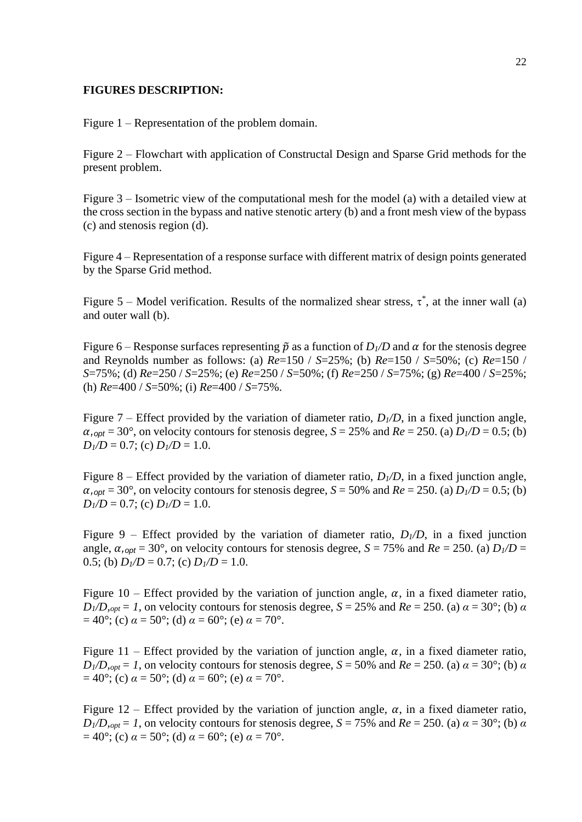## **FIGURES DESCRIPTION:**

Figure 1 – Representation of the problem domain.

Figure 2 – Flowchart with application of Constructal Design and Sparse Grid methods for the present problem.

Figure 3 – Isometric view of the computational mesh for the model (a) with a detailed view at the cross section in the bypass and native stenotic artery (b) and a front mesh view of the bypass (c) and stenosis region (d).

Figure 4 – Representation of a response surface with different matrix of design points generated by the Sparse Grid method.

Figure 5 – Model verification. Results of the normalized shear stress,  $\tau^*$ , at the inner wall (a) and outer wall (b).

Figure 6 – Response surfaces representing  $\tilde{p}$  as a function of  $D_1/D$  and  $\alpha$  for the stenosis degree and Reynolds number as follows: (a) *Re*=150 / *S*=25%; (b) *Re*=150 / *S*=50%; (c) *Re*=150 / *S*=75%; (d) *Re*=250 / *S*=25%; (e) *Re*=250 / *S*=50%; (f) *Re*=250 / *S*=75%; (g) *Re*=400 / *S*=25%; (h) *Re*=400 / *S*=50%; (i) *Re*=400 / *S*=75%.

Figure 7 – Effect provided by the variation of diameter ratio,  $D_1/D$ , in a fixed junction angle,  $\alpha$ <sub>*,opt*</sub> = 30°, on velocity contours for stenosis degree, *S* = 25% and *Re* = 250. (a) *D*<sub>1</sub>/*D* = 0.5; (b)  $D_1/D = 0.7$ ; (c)  $D_1/D = 1.0$ .

Figure 8 – Effect provided by the variation of diameter ratio,  $D_{1}/D$ , in a fixed junction angle,  $\alpha$ ,*<sub>opt</sub>* = 30°, on velocity contours for stenosis degree, *S* = 50% and *Re* = 250. (a) *D*<sub>1</sub>/*D* = 0.5; (b)  $D_1/D = 0.7$ ; (c)  $D_1/D = 1.0$ .

Figure 9 – Effect provided by the variation of diameter ratio,  $D_1/D$ , in a fixed junction angle,  $\alpha$ , *opt* = 30°, on velocity contours for stenosis degree, *S* = 75% and *Re* = 250. (a) *D*<sub>1</sub>/*D* = 0.5; (b)  $D_1/D = 0.7$ ; (c)  $D_1/D = 1.0$ .

Figure 10 – Effect provided by the variation of junction angle,  $\alpha$ , in a fixed diameter ratio,  $D_1/D$ ,  $_{opt} = 1$ , on velocity contours for stenosis degree,  $S = 25%$  and  $Re = 250$ . (a)  $\alpha = 30^\circ$ ; (b)  $\alpha$  $= 40^{\circ}$ ; (c)  $\alpha = 50^{\circ}$ ; (d)  $\alpha = 60^{\circ}$ ; (e)  $\alpha = 70^{\circ}$ .

Figure 11 – Effect provided by the variation of junction angle,  $\alpha$ , in a fixed diameter ratio,  $D_1/D$ ,  $_{opt} = 1$ , on velocity contours for stenosis degree,  $S = 50\%$  and  $Re = 250$ . (a)  $\alpha = 30^\circ$ ; (b)  $\alpha$  $a = 40^{\circ}$ ; (c)  $\alpha = 50^{\circ}$ ; (d)  $\alpha = 60^{\circ}$ ; (e)  $\alpha = 70^{\circ}$ .

Figure 12 – Effect provided by the variation of junction angle,  $\alpha$ , in a fixed diameter ratio,  $D_1/D$ ,  $_{opt} = 1$ , on velocity contours for stenosis degree,  $S = 75\%$  and  $Re = 250$ . (a)  $\alpha = 30^\circ$ ; (b)  $\alpha$  $= 40^{\circ}$ ; (c)  $\alpha = 50^{\circ}$ ; (d)  $\alpha = 60^{\circ}$ ; (e)  $\alpha = 70^{\circ}$ .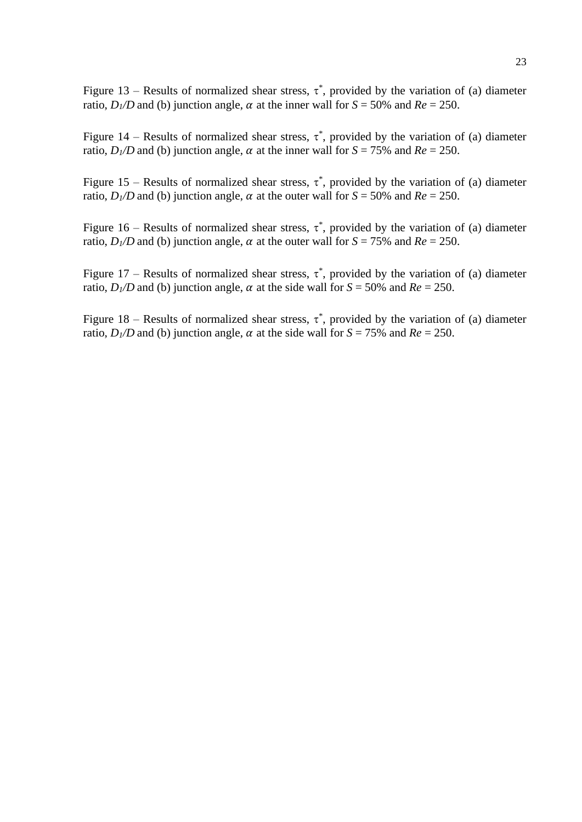Figure 13 – Results of normalized shear stress,  $\tau^*$ , provided by the variation of (a) diameter ratio,  $D_1/D$  and (b) junction angle,  $\alpha$  at the inner wall for  $S = 50\%$  and  $Re = 250$ .

Figure 14 – Results of normalized shear stress,  $\tau^*$ , provided by the variation of (a) diameter ratio,  $D_1/D$  and (b) junction angle,  $\alpha$  at the inner wall for  $S = 75\%$  and  $Re = 250$ .

Figure 15 – Results of normalized shear stress,  $\tau^*$ , provided by the variation of (a) diameter ratio,  $D_1/D$  and (b) junction angle,  $\alpha$  at the outer wall for  $S = 50\%$  and  $Re = 250$ .

Figure 16 – Results of normalized shear stress,  $\tau^*$ , provided by the variation of (a) diameter ratio,  $D_1/D$  and (b) junction angle,  $\alpha$  at the outer wall for  $S = 75\%$  and  $Re = 250$ .

Figure 17 – Results of normalized shear stress,  $\tau^*$ , provided by the variation of (a) diameter ratio,  $D_1/D$  and (b) junction angle,  $\alpha$  at the side wall for  $S = 50\%$  and  $Re = 250$ .

Figure 18 – Results of normalized shear stress,  $\tau^*$ , provided by the variation of (a) diameter ratio,  $D_1/D$  and (b) junction angle,  $\alpha$  at the side wall for  $S = 75\%$  and  $Re = 250$ .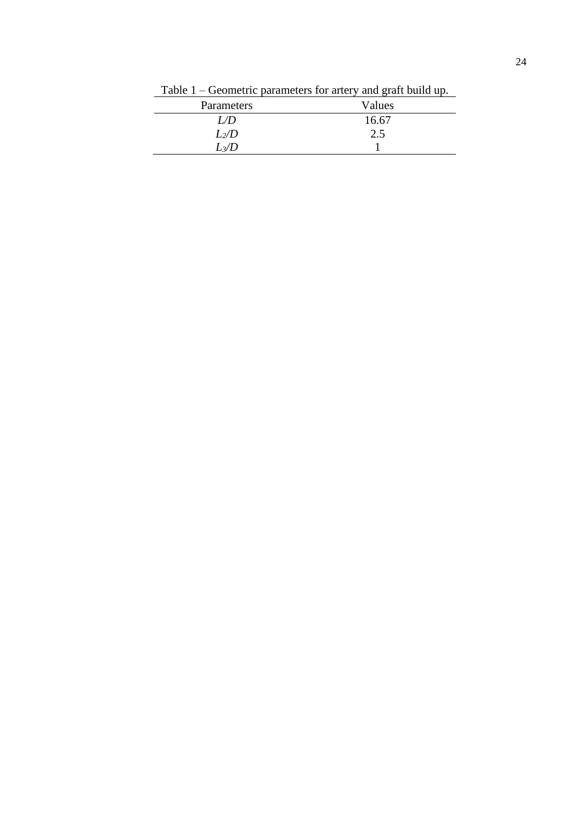| Parameters | Values |
|------------|--------|
| L/D        | 16.67  |
| $L_2/D$    | 2.5    |
| $L_3/D$    |        |

Table 1 – Geometric parameters for artery and graft build up.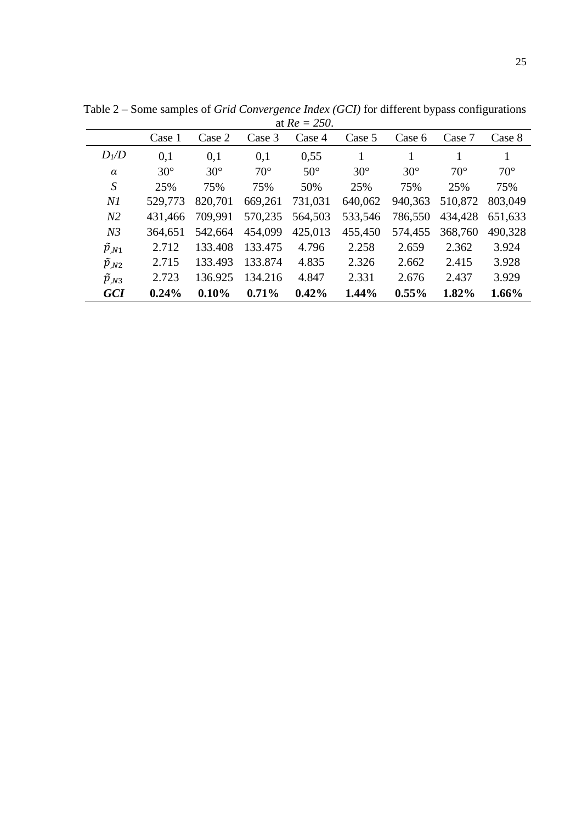| at $\mathbf{N}e = 2J\mathbf{U}$ . |            |            |              |            |            |            |              |              |
|-----------------------------------|------------|------------|--------------|------------|------------|------------|--------------|--------------|
|                                   | Case 1     | Case 2     | Case 3       | Case 4     | Case 5     | Case 6     | Case 7       | Case 8       |
| $D_l/D$                           | 0,1        | 0,1        | 0,1          | 0,55       | 1          |            |              | 1            |
| $\alpha$                          | $30^\circ$ | $30^\circ$ | $70^{\circ}$ | $50^\circ$ | $30^\circ$ | $30^\circ$ | $70^{\circ}$ | $70^{\circ}$ |
| S                                 | 25%        | 75%        | 75%          | 50%        | 25%        | 75%        | 25%          | 75%          |
| N1                                | 529,773    | 820,701    | 669,261      | 731,031    | 640,062    | 940,363    | 510,872      | 803,049      |
| N <sub>2</sub>                    | 431,466    | 709.991    | 570,235      | 564,503    | 533,546    | 786,550    | 434,428      | 651,633      |
| N <sub>3</sub>                    | 364,651    | 542,664    | 454,099      | 425,013    | 455,450    | 574,455    | 368,760      | 490,328      |
| $\widetilde{p}_{,N1}$             | 2.712      | 133.408    | 133.475      | 4.796      | 2.258      | 2.659      | 2.362        | 3.924        |
| $\widetilde{p}_{,N2}$             | 2.715      | 133.493    | 133.874      | 4.835      | 2.326      | 2.662      | 2.415        | 3.928        |
| $\tilde{p}_{N3}$                  | 2.723      | 136.925    | 134.216      | 4.847      | 2.331      | 2.676      | 2.437        | 3.929        |
| <b>GCI</b>                        | 0.24%      | 0.10%      | 0.71%        | 0.42%      | 1.44%      | $0.55\%$   | 1.82%        | $1.66\%$     |

Table 2 – Some samples of *Grid Convergence Index (GCI)* for different bypass configurations at *Re = 250*.